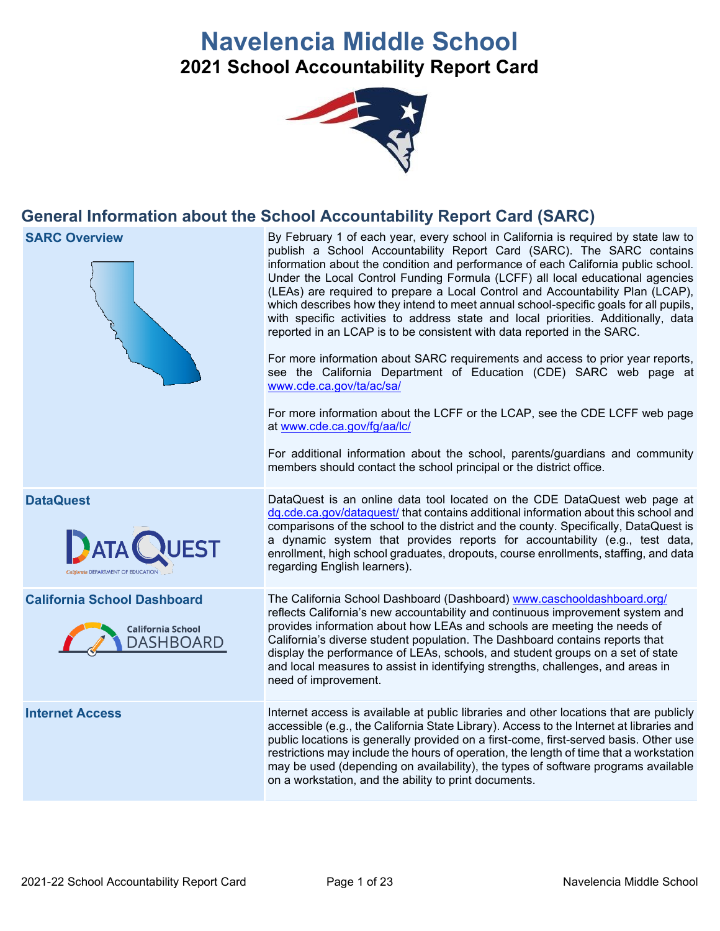# **Navelencia Middle School 2021 School Accountability Report Card**



# **General Information about the School Accountability Report Card (SARC)**

**SARC Overview By February 1 of each year, every school in California is required by state law to** publish a School Accountability Report Card (SARC). The SARC contains information about the condition and performance of each California public school. Under the Local Control Funding Formula (LCFF) all local educational agencies (LEAs) are required to prepare a Local Control and Accountability Plan (LCAP), which describes how they intend to meet annual school-specific goals for all pupils, with specific activities to address state and local priorities. Additionally, data reported in an LCAP is to be consistent with data reported in the SARC. For more information about SARC requirements and access to prior year reports, see the California Department of Education (CDE) SARC web page at [www.cde.ca.gov/ta/ac/sa/](https://www.cde.ca.gov/ta/ac/sa/) For more information about the LCFF or the LCAP, see the CDE LCFF web page at [www.cde.ca.gov/fg/aa/lc/](https://www.cde.ca.gov/fg/aa/lc/) For additional information about the school, parents/guardians and community members should contact the school principal or the district office. **DataQuest** DataQuest is an online data tool located on the CDE DataQuest web page at [dq.cde.ca.gov/dataquest/](https://dq.cde.ca.gov/dataquest/) that contains additional information about this school and comparisons of the school to the district and the county. Specifically, DataQuest is a dynamic system that provides reports for accountability (e.g., test data, **ATA** enrollment, high school graduates, dropouts, course enrollments, staffing, and data regarding English learners). **California School Dashboard** The California School Dashboard (Dashboard) [www.caschooldashboard.org/](http://www.caschooldashboard.org/) reflects California's new accountability and continuous improvement system and provides information about how LEAs and schools are meeting the needs of **California School** California's diverse student population. The Dashboard contains reports that **DASHBOARD** display the performance of LEAs, schools, and student groups on a set of state and local measures to assist in identifying strengths, challenges, and areas in need of improvement. **Internet Access** Internet access is available at public libraries and other locations that are publicly accessible (e.g., the California State Library). Access to the Internet at libraries and public locations is generally provided on a first-come, first-served basis. Other use restrictions may include the hours of operation, the length of time that a workstation may be used (depending on availability), the types of software programs available on a workstation, and the ability to print documents.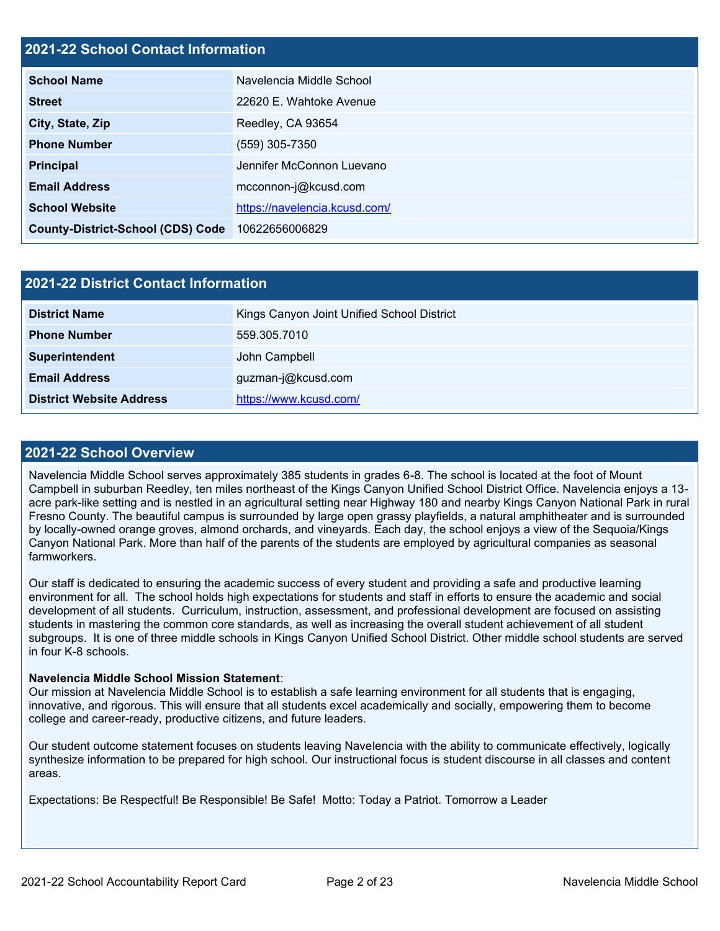#### **2021-22 School Contact Information**

| <b>School Name</b>                       | Navelencia Middle School      |
|------------------------------------------|-------------------------------|
| <b>Street</b>                            | 22620 E. Wahtoke Avenue       |
| City, State, Zip                         | Reedley, CA 93654             |
| <b>Phone Number</b>                      | (559) 305-7350                |
| <b>Principal</b>                         | Jennifer McConnon Luevano     |
| <b>Email Address</b>                     | mcconnon-j@kcusd.com          |
| <b>School Website</b>                    | https://navelencia.kcusd.com/ |
| <b>County-District-School (CDS) Code</b> | 10622656006829                |

| 2021-22 District Contact Information |                                            |  |  |  |
|--------------------------------------|--------------------------------------------|--|--|--|
| <b>District Name</b>                 | Kings Canyon Joint Unified School District |  |  |  |
| <b>Phone Number</b>                  | 559.305.7010                               |  |  |  |
| Superintendent                       | John Campbell                              |  |  |  |
| <b>Email Address</b>                 | guzman-j@kcusd.com                         |  |  |  |
| <b>District Website Address</b>      | https://www.kcusd.com/                     |  |  |  |

#### **2021-22 School Overview**

Navelencia Middle School serves approximately 385 students in grades 6-8. The school is located at the foot of Mount Campbell in suburban Reedley, ten miles northeast of the Kings Canyon Unified School District Office. Navelencia enjoys a 13 acre park-like setting and is nestled in an agricultural setting near Highway 180 and nearby Kings Canyon National Park in rural Fresno County. The beautiful campus is surrounded by large open grassy playfields, a natural amphitheater and is surrounded by locally-owned orange groves, almond orchards, and vineyards. Each day, the school enjoys a view of the Sequoia/Kings Canyon National Park. More than half of the parents of the students are employed by agricultural companies as seasonal farmworkers.

Our staff is dedicated to ensuring the academic success of every student and providing a safe and productive learning environment for all. The school holds high expectations for students and staff in efforts to ensure the academic and social development of all students. Curriculum, instruction, assessment, and professional development are focused on assisting students in mastering the common core standards, as well as increasing the overall student achievement of all student subgroups. It is one of three middle schools in Kings Canyon Unified School District. Other middle school students are served in four K-8 schools.

#### **Navelencia Middle School Mission Statement**:

Our mission at Navelencia Middle School is to establish a safe learning environment for all students that is engaging, innovative, and rigorous. This will ensure that all students excel academically and socially, empowering them to become college and career-ready, productive citizens, and future leaders.

Our student outcome statement focuses on students leaving Navelencia with the ability to communicate effectively, logically synthesize information to be prepared for high school. Our instructional focus is student discourse in all classes and content areas.

Expectations: Be Respectful! Be Responsible! Be Safe! Motto: Today a Patriot. Tomorrow a Leader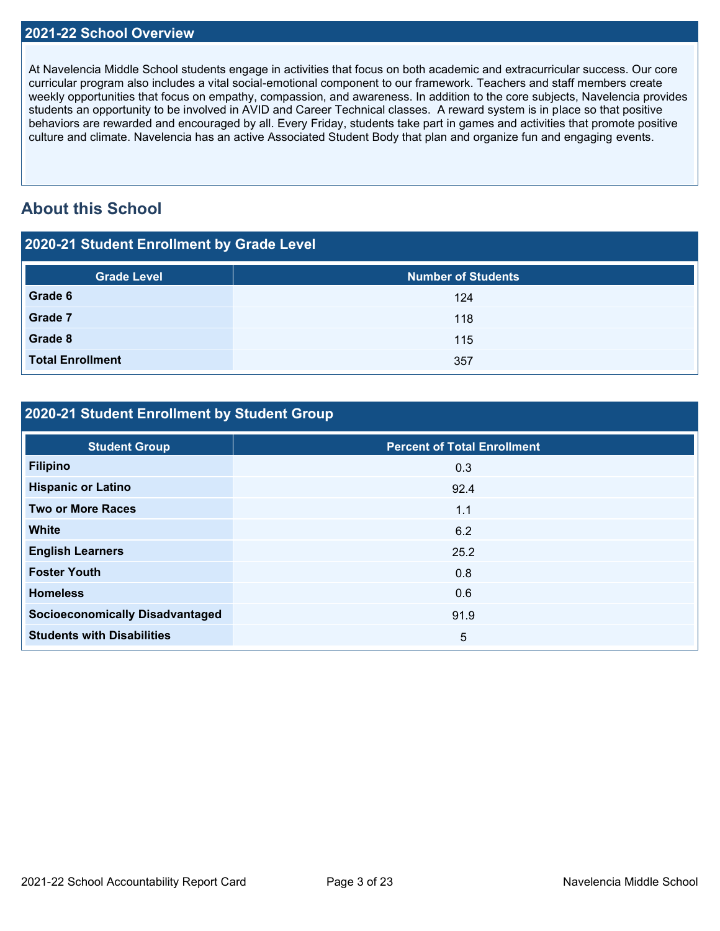#### **2021-22 School Overview**

At Navelencia Middle School students engage in activities that focus on both academic and extracurricular success. Our core curricular program also includes a vital social-emotional component to our framework. Teachers and staff members create weekly opportunities that focus on empathy, compassion, and awareness. In addition to the core subjects, Navelencia provides students an opportunity to be involved in AVID and Career Technical classes. A reward system is in place so that positive behaviors are rewarded and encouraged by all. Every Friday, students take part in games and activities that promote positive culture and climate. Navelencia has an active Associated Student Body that plan and organize fun and engaging events.

# **About this School**

| 2020-21 Student Enrollment by Grade Level |                           |  |  |  |
|-------------------------------------------|---------------------------|--|--|--|
| <b>Grade Level</b>                        | <b>Number of Students</b> |  |  |  |
| Grade 6                                   | 124                       |  |  |  |
| Grade 7                                   | 118                       |  |  |  |
| Grade 8                                   | 115                       |  |  |  |
| <b>Total Enrollment</b>                   | 357                       |  |  |  |

## **2020-21 Student Enrollment by Student Group**

| <b>Student Group</b>                   | <b>Percent of Total Enrollment</b> |
|----------------------------------------|------------------------------------|
| <b>Filipino</b>                        | 0.3                                |
| <b>Hispanic or Latino</b>              | 92.4                               |
| <b>Two or More Races</b>               | 1.1                                |
| <b>White</b>                           | 6.2                                |
| <b>English Learners</b>                | 25.2                               |
| <b>Foster Youth</b>                    | 0.8                                |
| <b>Homeless</b>                        | 0.6                                |
| <b>Socioeconomically Disadvantaged</b> | 91.9                               |
| <b>Students with Disabilities</b>      | 5                                  |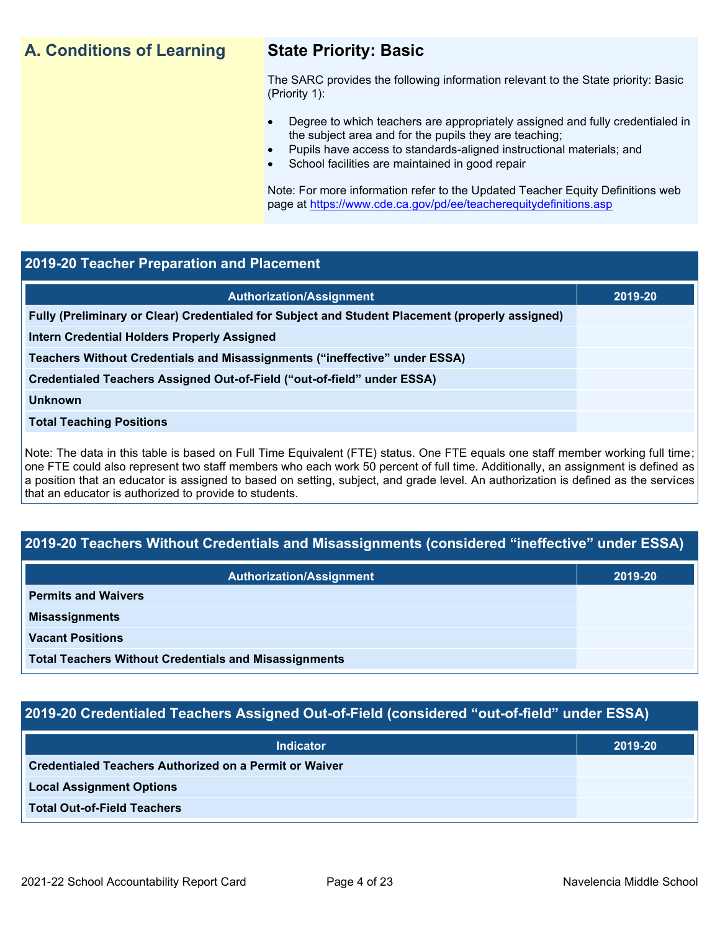# **A. Conditions of Learning State Priority: Basic**

The SARC provides the following information relevant to the State priority: Basic (Priority 1):

- Degree to which teachers are appropriately assigned and fully credentialed in the subject area and for the pupils they are teaching;
	- Pupils have access to standards-aligned instructional materials; and
- School facilities are maintained in good repair

Note: For more information refer to the Updated Teacher Equity Definitions web page at<https://www.cde.ca.gov/pd/ee/teacherequitydefinitions.asp>

#### **2019-20 Teacher Preparation and Placement**

| <b>Authorization/Assignment</b>                                                                 | 2019-20 |
|-------------------------------------------------------------------------------------------------|---------|
| Fully (Preliminary or Clear) Credentialed for Subject and Student Placement (properly assigned) |         |
| Intern Credential Holders Properly Assigned                                                     |         |
| Teachers Without Credentials and Misassignments ("ineffective" under ESSA)                      |         |
| Credentialed Teachers Assigned Out-of-Field ("out-of-field" under ESSA)                         |         |
| <b>Unknown</b>                                                                                  |         |
| <b>Total Teaching Positions</b>                                                                 |         |
|                                                                                                 |         |

Note: The data in this table is based on Full Time Equivalent (FTE) status. One FTE equals one staff member working full time; one FTE could also represent two staff members who each work 50 percent of full time. Additionally, an assignment is defined as a position that an educator is assigned to based on setting, subject, and grade level. An authorization is defined as the services that an educator is authorized to provide to students.

# **2019-20 Teachers Without Credentials and Misassignments (considered "ineffective" under ESSA)**

| Authorization/Assignment                                     | 2019-20 |
|--------------------------------------------------------------|---------|
| <b>Permits and Waivers</b>                                   |         |
| <b>Misassignments</b>                                        |         |
| <b>Vacant Positions</b>                                      |         |
| <b>Total Teachers Without Credentials and Misassignments</b> |         |

# **2019-20 Credentialed Teachers Assigned Out-of-Field (considered "out-of-field" under ESSA)**

| Indicator                                                     | 2019-20 |
|---------------------------------------------------------------|---------|
| <b>Credentialed Teachers Authorized on a Permit or Waiver</b> |         |
| <b>Local Assignment Options</b>                               |         |
| <b>Total Out-of-Field Teachers</b>                            |         |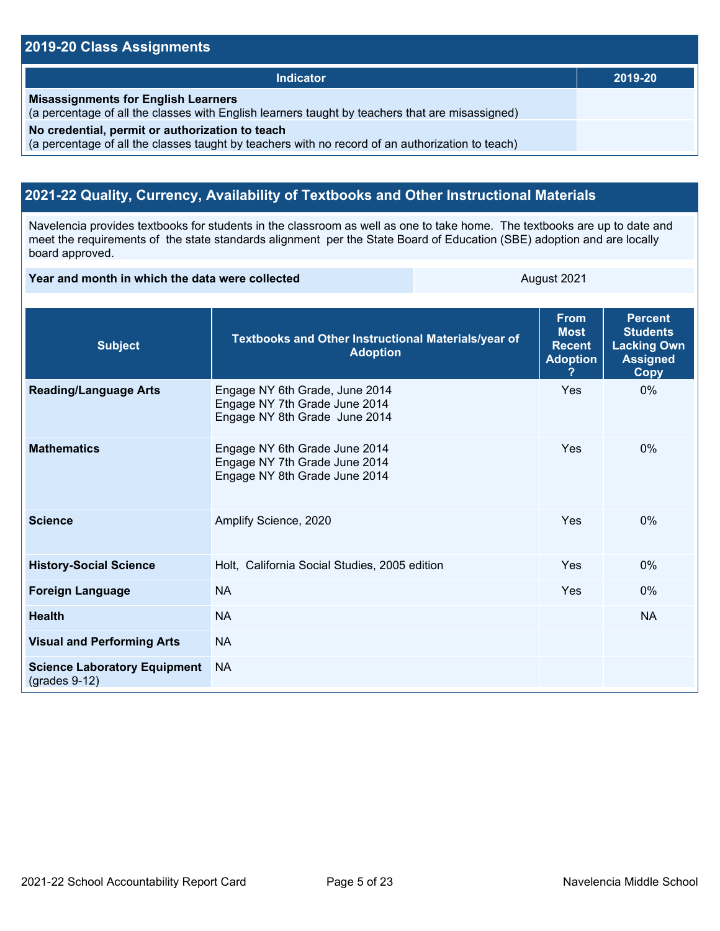#### **2019-20 Class Assignments**

| <b>Indicator</b>                                                                                                                                    | 2019-20 |
|-----------------------------------------------------------------------------------------------------------------------------------------------------|---------|
| <b>Misassignments for English Learners</b><br>(a percentage of all the classes with English learners taught by teachers that are misassigned)       |         |
| No credential, permit or authorization to teach<br>(a percentage of all the classes taught by teachers with no record of an authorization to teach) |         |

## **2021-22 Quality, Currency, Availability of Textbooks and Other Instructional Materials**

Navelencia provides textbooks for students in the classroom as well as one to take home. The textbooks are up to date and meet the requirements of the state standards alignment per the State Board of Education (SBE) adoption and are locally board approved.

**Year and month in which the data were collected** August 2021

| <b>Subject</b>                                         | Textbooks and Other Instructional Materials/year of<br><b>Adoption</b>                           | <b>From</b><br><b>Most</b><br><b>Recent</b><br><b>Adoption</b> | <b>Percent</b><br><b>Students</b><br><b>Lacking Own</b><br><b>Assigned</b><br>Copy |
|--------------------------------------------------------|--------------------------------------------------------------------------------------------------|----------------------------------------------------------------|------------------------------------------------------------------------------------|
| <b>Reading/Language Arts</b>                           | Engage NY 6th Grade, June 2014<br>Engage NY 7th Grade June 2014<br>Engage NY 8th Grade June 2014 | Yes                                                            | $0\%$                                                                              |
| <b>Mathematics</b>                                     | Engage NY 6th Grade June 2014<br>Engage NY 7th Grade June 2014<br>Engage NY 8th Grade June 2014  | Yes                                                            | $0\%$                                                                              |
| <b>Science</b>                                         | Amplify Science, 2020                                                                            | Yes                                                            | $0\%$                                                                              |
| <b>History-Social Science</b>                          | Holt, California Social Studies, 2005 edition                                                    | Yes                                                            | $0\%$                                                                              |
| <b>Foreign Language</b>                                | <b>NA</b>                                                                                        | Yes                                                            | $0\%$                                                                              |
| <b>Health</b>                                          | <b>NA</b>                                                                                        |                                                                | <b>NA</b>                                                                          |
| <b>Visual and Performing Arts</b>                      | <b>NA</b>                                                                                        |                                                                |                                                                                    |
| <b>Science Laboratory Equipment</b><br>$(grades 9-12)$ | <b>NA</b>                                                                                        |                                                                |                                                                                    |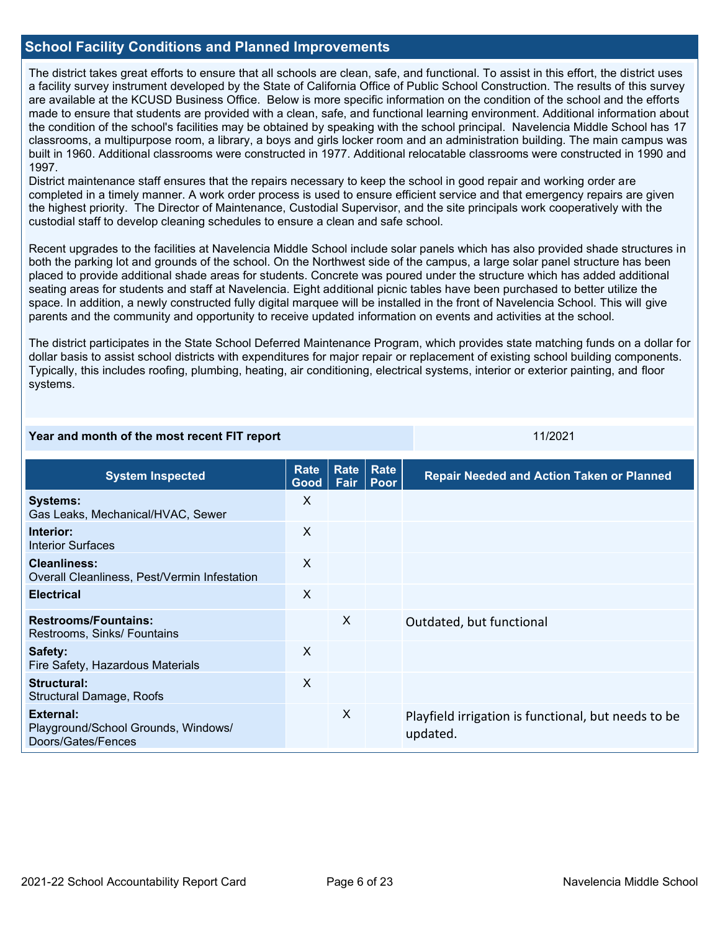#### **School Facility Conditions and Planned Improvements**

The district takes great efforts to ensure that all schools are clean, safe, and functional. To assist in this effort, the district uses a facility survey instrument developed by the State of California Office of Public School Construction. The results of this survey are available at the KCUSD Business Office. Below is more specific information on the condition of the school and the efforts made to ensure that students are provided with a clean, safe, and functional learning environment. Additional information about the condition of the school's facilities may be obtained by speaking with the school principal. Navelencia Middle School has 17 classrooms, a multipurpose room, a library, a boys and girls locker room and an administration building. The main campus was built in 1960. Additional classrooms were constructed in 1977. Additional relocatable classrooms were constructed in 1990 and 1997.

District maintenance staff ensures that the repairs necessary to keep the school in good repair and working order are completed in a timely manner. A work order process is used to ensure efficient service and that emergency repairs are given the highest priority. The Director of Maintenance, Custodial Supervisor, and the site principals work cooperatively with the custodial staff to develop cleaning schedules to ensure a clean and safe school.

Recent upgrades to the facilities at Navelencia Middle School include solar panels which has also provided shade structures in both the parking lot and grounds of the school. On the Northwest side of the campus, a large solar panel structure has been placed to provide additional shade areas for students. Concrete was poured under the structure which has added additional seating areas for students and staff at Navelencia. Eight additional picnic tables have been purchased to better utilize the space. In addition, a newly constructed fully digital marquee will be installed in the front of Navelencia School. This will give parents and the community and opportunity to receive updated information on events and activities at the school.

The district participates in the State School Deferred Maintenance Program, which provides state matching funds on a dollar for dollar basis to assist school districts with expenditures for major repair or replacement of existing school building components. Typically, this includes roofing, plumbing, heating, air conditioning, electrical systems, interior or exterior painting, and floor systems.

**Year and month of the most recent FIT report** 11/2021 11/2021

| <b>System Inspected</b>                                                | <b>Rate</b><br>Good       | Rate<br>Fair              | Rate<br><b>Poor</b> | <b>Repair Needed and Action Taken or Planned</b>                |
|------------------------------------------------------------------------|---------------------------|---------------------------|---------------------|-----------------------------------------------------------------|
| <b>Systems:</b><br>Gas Leaks, Mechanical/HVAC, Sewer                   | X                         |                           |                     |                                                                 |
| Interior:<br>Interior Surfaces                                         | X                         |                           |                     |                                                                 |
| Cleanliness:<br>Overall Cleanliness, Pest/Vermin Infestation           | $\boldsymbol{\mathsf{X}}$ |                           |                     |                                                                 |
| <b>Electrical</b>                                                      | $\times$                  |                           |                     |                                                                 |
| <b>Restrooms/Fountains:</b><br>Restrooms, Sinks/ Fountains             |                           | $\boldsymbol{\mathsf{X}}$ |                     | Outdated, but functional                                        |
| Safety:<br>Fire Safety, Hazardous Materials                            | $\boldsymbol{\mathsf{X}}$ |                           |                     |                                                                 |
| Structural:<br>Structural Damage, Roofs                                | X                         |                           |                     |                                                                 |
| External:<br>Playground/School Grounds, Windows/<br>Doors/Gates/Fences |                           | X                         |                     | Playfield irrigation is functional, but needs to be<br>updated. |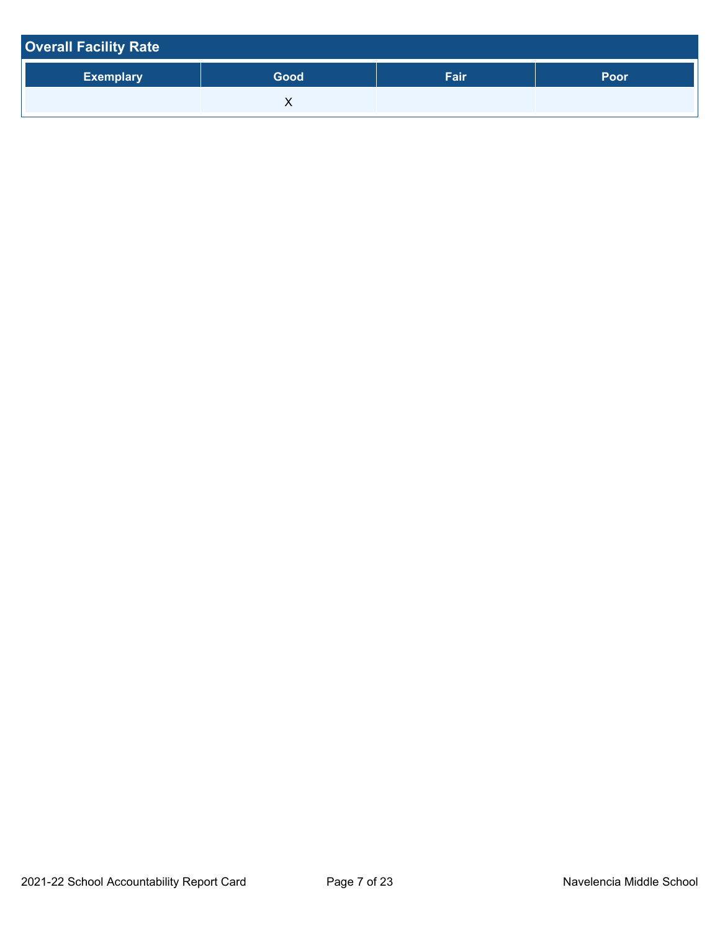| <b>Overall Facility Rate</b> |      |      |      |  |  |  |
|------------------------------|------|------|------|--|--|--|
| <b>Exemplary</b>             | Good | Fair | Poor |  |  |  |
|                              |      |      |      |  |  |  |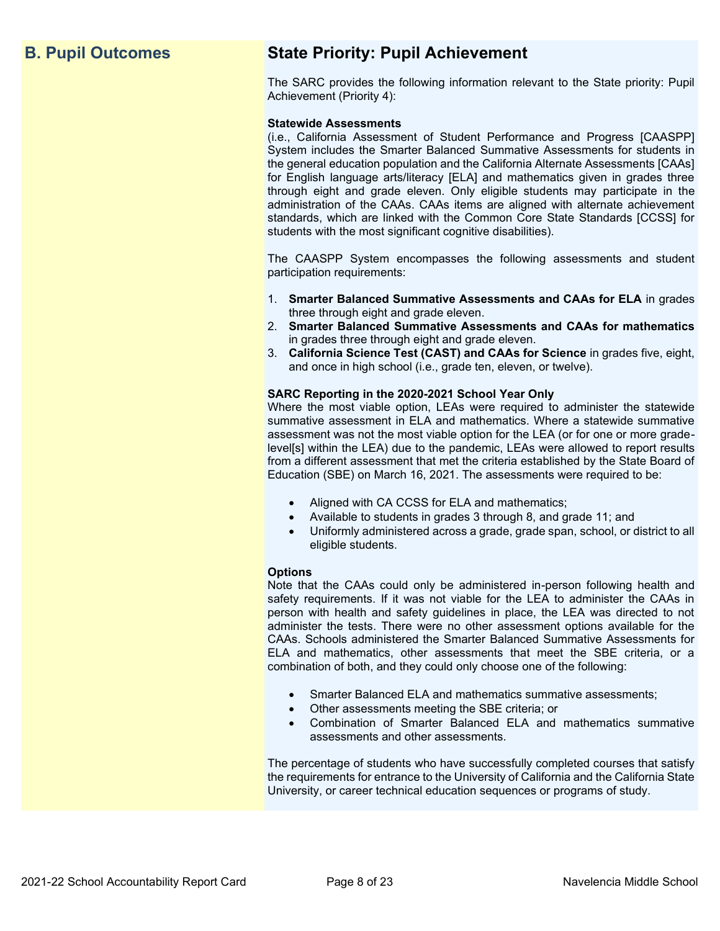# **B. Pupil Outcomes State Priority: Pupil Achievement**

The SARC provides the following information relevant to the State priority: Pupil Achievement (Priority 4):

#### **Statewide Assessments**

(i.e., California Assessment of Student Performance and Progress [CAASPP] System includes the Smarter Balanced Summative Assessments for students in the general education population and the California Alternate Assessments [CAAs] for English language arts/literacy [ELA] and mathematics given in grades three through eight and grade eleven. Only eligible students may participate in the administration of the CAAs. CAAs items are aligned with alternate achievement standards, which are linked with the Common Core State Standards [CCSS] for students with the most significant cognitive disabilities).

The CAASPP System encompasses the following assessments and student participation requirements:

- 1. **Smarter Balanced Summative Assessments and CAAs for ELA** in grades three through eight and grade eleven.
- 2. **Smarter Balanced Summative Assessments and CAAs for mathematics** in grades three through eight and grade eleven.
- 3. **California Science Test (CAST) and CAAs for Science** in grades five, eight, and once in high school (i.e., grade ten, eleven, or twelve).

#### **SARC Reporting in the 2020-2021 School Year Only**

Where the most viable option, LEAs were required to administer the statewide summative assessment in ELA and mathematics. Where a statewide summative assessment was not the most viable option for the LEA (or for one or more gradelevel[s] within the LEA) due to the pandemic, LEAs were allowed to report results from a different assessment that met the criteria established by the State Board of Education (SBE) on March 16, 2021. The assessments were required to be:

- Aligned with CA CCSS for ELA and mathematics;
- Available to students in grades 3 through 8, and grade 11; and
- Uniformly administered across a grade, grade span, school, or district to all eligible students.

#### **Options**

Note that the CAAs could only be administered in-person following health and safety requirements. If it was not viable for the LEA to administer the CAAs in person with health and safety guidelines in place, the LEA was directed to not administer the tests. There were no other assessment options available for the CAAs. Schools administered the Smarter Balanced Summative Assessments for ELA and mathematics, other assessments that meet the SBE criteria, or a combination of both, and they could only choose one of the following:

- Smarter Balanced ELA and mathematics summative assessments;
- Other assessments meeting the SBE criteria; or
- Combination of Smarter Balanced ELA and mathematics summative assessments and other assessments.

The percentage of students who have successfully completed courses that satisfy the requirements for entrance to the University of California and the California State University, or career technical education sequences or programs of study.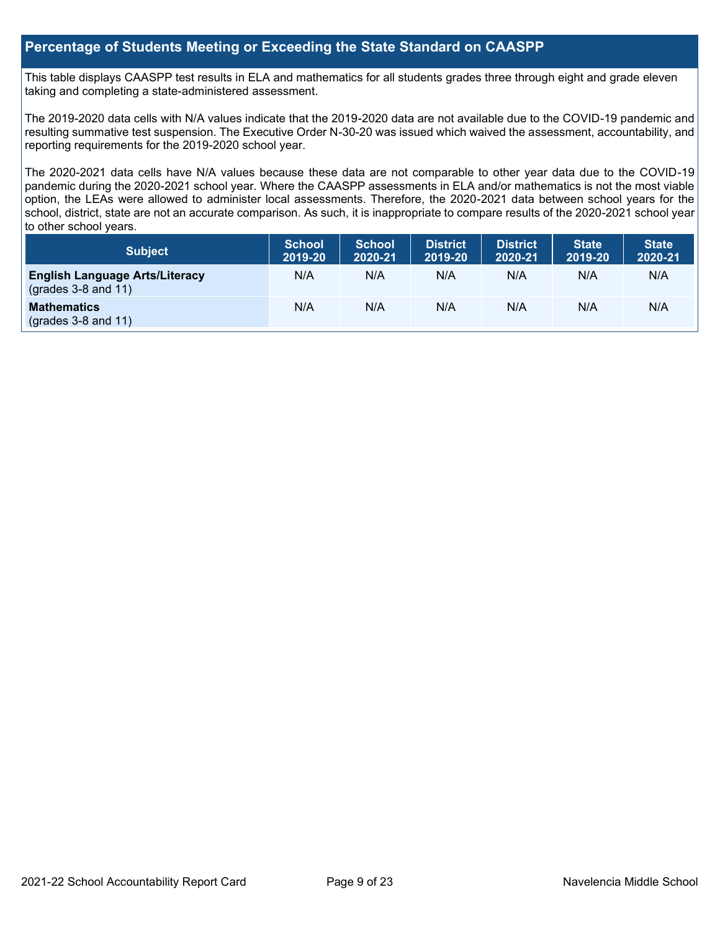#### **Percentage of Students Meeting or Exceeding the State Standard on CAASPP**

This table displays CAASPP test results in ELA and mathematics for all students grades three through eight and grade eleven taking and completing a state-administered assessment.

The 2019-2020 data cells with N/A values indicate that the 2019-2020 data are not available due to the COVID-19 pandemic and resulting summative test suspension. The Executive Order N-30-20 was issued which waived the assessment, accountability, and reporting requirements for the 2019-2020 school year.

The 2020-2021 data cells have N/A values because these data are not comparable to other year data due to the COVID-19 pandemic during the 2020-2021 school year. Where the CAASPP assessments in ELA and/or mathematics is not the most viable option, the LEAs were allowed to administer local assessments. Therefore, the 2020-2021 data between school years for the school, district, state are not an accurate comparison. As such, it is inappropriate to compare results of the 2020-2021 school year to other school years.

| Subject                                                              | <b>School</b><br>2019-20 | <b>School</b><br>2020-21 | <b>District</b><br>2019-20 | <b>District</b><br>2020-21 | <b>State</b><br>2019-20 | <b>State</b><br>2020-21 |
|----------------------------------------------------------------------|--------------------------|--------------------------|----------------------------|----------------------------|-------------------------|-------------------------|
| <b>English Language Arts/Literacy</b><br>$\left($ grades 3-8 and 11) | N/A                      | N/A                      | N/A                        | N/A                        | N/A                     | N/A                     |
| <b>Mathematics</b><br>$(grades 3-8 and 11)$                          | N/A                      | N/A                      | N/A                        | N/A                        | N/A                     | N/A                     |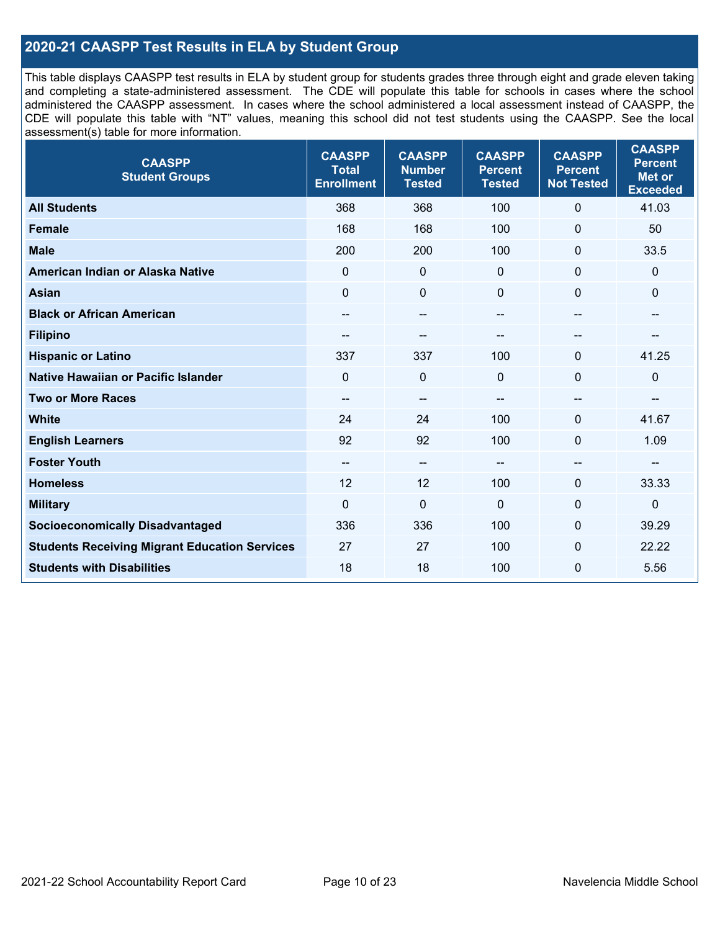### **2020-21 CAASPP Test Results in ELA by Student Group**

This table displays CAASPP test results in ELA by student group for students grades three through eight and grade eleven taking and completing a state-administered assessment. The CDE will populate this table for schools in cases where the school administered the CAASPP assessment. In cases where the school administered a local assessment instead of CAASPP, the CDE will populate this table with "NT" values, meaning this school did not test students using the CAASPP. See the local assessment(s) table for more information.

| <b>CAASPP</b><br><b>Student Groups</b>               | <b>CAASPP</b><br><b>Total</b><br><b>Enrollment</b> | <b>CAASPP</b><br><b>Number</b><br><b>Tested</b> | <b>CAASPP</b><br><b>Percent</b><br><b>Tested</b> | <b>CAASPP</b><br><b>Percent</b><br><b>Not Tested</b> | <b>CAASPP</b><br><b>Percent</b><br><b>Met or</b><br><b>Exceeded</b> |
|------------------------------------------------------|----------------------------------------------------|-------------------------------------------------|--------------------------------------------------|------------------------------------------------------|---------------------------------------------------------------------|
| <b>All Students</b>                                  | 368                                                | 368                                             | 100                                              | $\Omega$                                             | 41.03                                                               |
| <b>Female</b>                                        | 168                                                | 168                                             | 100                                              | 0                                                    | 50                                                                  |
| <b>Male</b>                                          | 200                                                | 200                                             | 100                                              | $\mathbf 0$                                          | 33.5                                                                |
| American Indian or Alaska Native                     | $\mathbf 0$                                        | $\pmb{0}$                                       | $\mathbf 0$                                      | $\overline{0}$                                       | 0                                                                   |
| <b>Asian</b>                                         | $\mathbf{0}$                                       | $\pmb{0}$                                       | $\mathbf{0}$                                     | $\mathbf 0$                                          | 0                                                                   |
| <b>Black or African American</b>                     | --                                                 | $\overline{\phantom{m}}$                        | --                                               | $\overline{\phantom{m}}$                             | --                                                                  |
| <b>Filipino</b>                                      |                                                    | --                                              |                                                  | --                                                   |                                                                     |
| <b>Hispanic or Latino</b>                            | 337                                                | 337                                             | 100                                              | $\mathbf{0}$                                         | 41.25                                                               |
| <b>Native Hawaiian or Pacific Islander</b>           | $\Omega$                                           | $\mathbf 0$                                     | $\mathbf 0$                                      | $\mathbf 0$                                          | 0                                                                   |
| <b>Two or More Races</b>                             | $\qquad \qquad -$                                  | $\qquad \qquad -$                               |                                                  |                                                      | --                                                                  |
| <b>White</b>                                         | 24                                                 | 24                                              | 100                                              | $\Omega$                                             | 41.67                                                               |
| <b>English Learners</b>                              | 92                                                 | 92                                              | 100                                              | $\overline{0}$                                       | 1.09                                                                |
| <b>Foster Youth</b>                                  | $\qquad \qquad -$                                  | $\overline{\phantom{a}}$                        | --                                               | --                                                   | --                                                                  |
| <b>Homeless</b>                                      | 12                                                 | 12                                              | 100                                              | $\mathbf 0$                                          | 33.33                                                               |
| <b>Military</b>                                      | $\mathbf 0$                                        | $\mathbf 0$                                     | $\mathbf 0$                                      | $\mathbf 0$                                          | $\boldsymbol{0}$                                                    |
| <b>Socioeconomically Disadvantaged</b>               | 336                                                | 336                                             | 100                                              | $\Omega$                                             | 39.29                                                               |
| <b>Students Receiving Migrant Education Services</b> | 27                                                 | 27                                              | 100                                              | $\Omega$                                             | 22.22                                                               |
| <b>Students with Disabilities</b>                    | 18                                                 | 18                                              | 100                                              | 0                                                    | 5.56                                                                |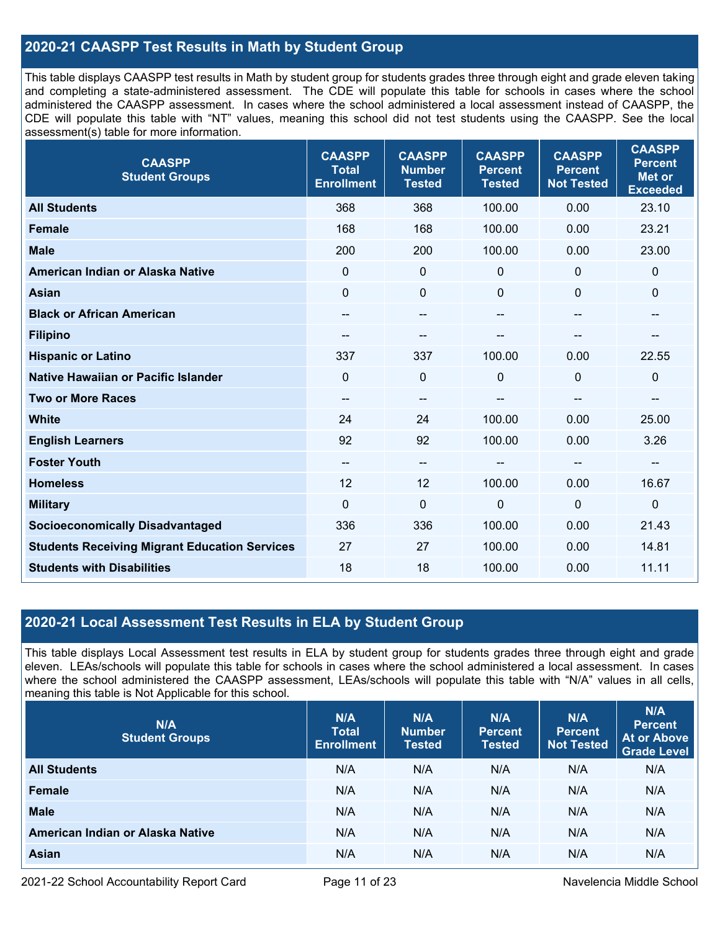### **2020-21 CAASPP Test Results in Math by Student Group**

This table displays CAASPP test results in Math by student group for students grades three through eight and grade eleven taking and completing a state-administered assessment. The CDE will populate this table for schools in cases where the school administered the CAASPP assessment. In cases where the school administered a local assessment instead of CAASPP, the CDE will populate this table with "NT" values, meaning this school did not test students using the CAASPP. See the local assessment(s) table for more information.

| <b>CAASPP</b><br><b>Student Groups</b>               | <b>CAASPP</b><br><b>Total</b><br><b>Enrollment</b> | <b>CAASPP</b><br><b>Number</b><br><b>Tested</b> | <b>CAASPP</b><br><b>Percent</b><br><b>Tested</b> | <b>CAASPP</b><br><b>Percent</b><br><b>Not Tested</b> | <b>CAASPP</b><br><b>Percent</b><br><b>Met or</b><br><b>Exceeded</b> |
|------------------------------------------------------|----------------------------------------------------|-------------------------------------------------|--------------------------------------------------|------------------------------------------------------|---------------------------------------------------------------------|
| <b>All Students</b>                                  | 368                                                | 368                                             | 100.00                                           | 0.00                                                 | 23.10                                                               |
| <b>Female</b>                                        | 168                                                | 168                                             | 100.00                                           | 0.00                                                 | 23.21                                                               |
| <b>Male</b>                                          | 200                                                | 200                                             | 100.00                                           | 0.00                                                 | 23.00                                                               |
| American Indian or Alaska Native                     | $\Omega$                                           | 0                                               | $\mathbf 0$                                      | $\Omega$                                             | $\mathbf 0$                                                         |
| <b>Asian</b>                                         | $\mathbf 0$                                        | 0                                               | $\mathbf 0$                                      | $\Omega$                                             | $\mathbf 0$                                                         |
| <b>Black or African American</b>                     | --                                                 | $\overline{\phantom{m}}$                        | $\hspace{0.05cm}$ – $\hspace{0.05cm}$            | $\overline{\phantom{a}}$                             | $\overline{\phantom{a}}$                                            |
| <b>Filipino</b>                                      | --                                                 | --                                              |                                                  |                                                      |                                                                     |
| <b>Hispanic or Latino</b>                            | 337                                                | 337                                             | 100.00                                           | 0.00                                                 | 22.55                                                               |
| Native Hawaiian or Pacific Islander                  | $\mathbf 0$                                        | $\mathbf 0$                                     | $\mathbf 0$                                      | 0                                                    | $\mathbf 0$                                                         |
| <b>Two or More Races</b>                             | $\qquad \qquad -$                                  | --                                              |                                                  | --                                                   | --                                                                  |
| <b>White</b>                                         | 24                                                 | 24                                              | 100.00                                           | 0.00                                                 | 25.00                                                               |
| <b>English Learners</b>                              | 92                                                 | 92                                              | 100.00                                           | 0.00                                                 | 3.26                                                                |
| <b>Foster Youth</b>                                  | --                                                 | --                                              |                                                  | --                                                   | $\sim$                                                              |
| <b>Homeless</b>                                      | 12                                                 | 12                                              | 100.00                                           | 0.00                                                 | 16.67                                                               |
| <b>Military</b>                                      | $\overline{0}$                                     | $\mathbf 0$                                     | $\mathbf 0$                                      | $\overline{0}$                                       | $\mathbf 0$                                                         |
| <b>Socioeconomically Disadvantaged</b>               | 336                                                | 336                                             | 100.00                                           | 0.00                                                 | 21.43                                                               |
| <b>Students Receiving Migrant Education Services</b> | 27                                                 | 27                                              | 100.00                                           | 0.00                                                 | 14.81                                                               |
| <b>Students with Disabilities</b>                    | 18                                                 | 18                                              | 100.00                                           | 0.00                                                 | 11.11                                                               |

#### **2020-21 Local Assessment Test Results in ELA by Student Group**

This table displays Local Assessment test results in ELA by student group for students grades three through eight and grade eleven. LEAs/schools will populate this table for schools in cases where the school administered a local assessment. In cases where the school administered the CAASPP assessment, LEAs/schools will populate this table with "N/A" values in all cells, meaning this table is Not Applicable for this school.

| N/A<br><b>Student Groups</b>     | N/A<br><b>Total</b><br><b>Enrollment</b> | N/A<br><b>Number</b><br><b>Tested</b> | N/A<br><b>Percent</b><br><b>Tested</b> | N/A<br>Percent<br><b>Not Tested</b> | N/A<br><b>Percent</b><br><b>At or Above</b><br><b>Grade Level</b> |
|----------------------------------|------------------------------------------|---------------------------------------|----------------------------------------|-------------------------------------|-------------------------------------------------------------------|
| <b>All Students</b>              | N/A                                      | N/A                                   | N/A                                    | N/A                                 | N/A                                                               |
| Female                           | N/A                                      | N/A                                   | N/A                                    | N/A                                 | N/A                                                               |
| <b>Male</b>                      | N/A                                      | N/A                                   | N/A                                    | N/A                                 | N/A                                                               |
| American Indian or Alaska Native | N/A                                      | N/A                                   | N/A                                    | N/A                                 | N/A                                                               |
| <b>Asian</b>                     | N/A                                      | N/A                                   | N/A                                    | N/A                                 | N/A                                                               |

2021-22 School Accountability Report Card **Page 11 of 23** Navelencia Middle School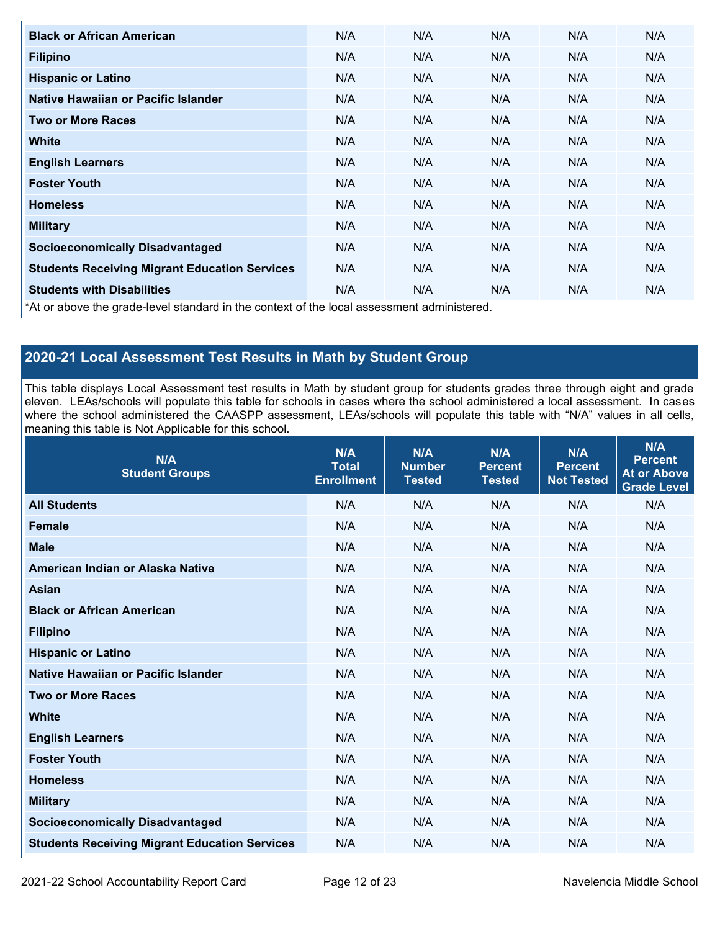| <b>Black or African American</b>                                                          | N/A | N/A | N/A | N/A | N/A |
|-------------------------------------------------------------------------------------------|-----|-----|-----|-----|-----|
| <b>Filipino</b>                                                                           | N/A | N/A | N/A | N/A | N/A |
| <b>Hispanic or Latino</b>                                                                 | N/A | N/A | N/A | N/A | N/A |
| Native Hawaiian or Pacific Islander                                                       | N/A | N/A | N/A | N/A | N/A |
| <b>Two or More Races</b>                                                                  | N/A | N/A | N/A | N/A | N/A |
| White                                                                                     | N/A | N/A | N/A | N/A | N/A |
| <b>English Learners</b>                                                                   | N/A | N/A | N/A | N/A | N/A |
| <b>Foster Youth</b>                                                                       | N/A | N/A | N/A | N/A | N/A |
| <b>Homeless</b>                                                                           | N/A | N/A | N/A | N/A | N/A |
| <b>Military</b>                                                                           | N/A | N/A | N/A | N/A | N/A |
| <b>Socioeconomically Disadvantaged</b>                                                    | N/A | N/A | N/A | N/A | N/A |
| <b>Students Receiving Migrant Education Services</b>                                      | N/A | N/A | N/A | N/A | N/A |
| <b>Students with Disabilities</b>                                                         | N/A | N/A | N/A | N/A | N/A |
| *At or above the grade-level standard in the context of the local assessment administered |     |     |     |     |     |

\*At or above the grade-level standard in the context of the local assessment administered.

# **2020-21 Local Assessment Test Results in Math by Student Group**

This table displays Local Assessment test results in Math by student group for students grades three through eight and grade eleven. LEAs/schools will populate this table for schools in cases where the school administered a local assessment. In cases where the school administered the CAASPP assessment, LEAs/schools will populate this table with "N/A" values in all cells, meaning this table is Not Applicable for this school.

| N/A<br><b>Student Groups</b>                         | N/A<br><b>Total</b><br><b>Enrollment</b> | N/A<br><b>Number</b><br><b>Tested</b> | N/A<br><b>Percent</b><br><b>Tested</b> | N/A<br><b>Percent</b><br><b>Not Tested</b> | N/A<br><b>Percent</b><br><b>At or Above</b><br><b>Grade Level</b> |
|------------------------------------------------------|------------------------------------------|---------------------------------------|----------------------------------------|--------------------------------------------|-------------------------------------------------------------------|
| <b>All Students</b>                                  | N/A                                      | N/A                                   | N/A                                    | N/A                                        | N/A                                                               |
| <b>Female</b>                                        | N/A                                      | N/A                                   | N/A                                    | N/A                                        | N/A                                                               |
| <b>Male</b>                                          | N/A                                      | N/A                                   | N/A                                    | N/A                                        | N/A                                                               |
| American Indian or Alaska Native                     | N/A                                      | N/A                                   | N/A                                    | N/A                                        | N/A                                                               |
| <b>Asian</b>                                         | N/A                                      | N/A                                   | N/A                                    | N/A                                        | N/A                                                               |
| <b>Black or African American</b>                     | N/A                                      | N/A                                   | N/A                                    | N/A                                        | N/A                                                               |
| <b>Filipino</b>                                      | N/A                                      | N/A                                   | N/A                                    | N/A                                        | N/A                                                               |
| <b>Hispanic or Latino</b>                            | N/A                                      | N/A                                   | N/A                                    | N/A                                        | N/A                                                               |
| Native Hawaiian or Pacific Islander                  | N/A                                      | N/A                                   | N/A                                    | N/A                                        | N/A                                                               |
| <b>Two or More Races</b>                             | N/A                                      | N/A                                   | N/A                                    | N/A                                        | N/A                                                               |
| <b>White</b>                                         | N/A                                      | N/A                                   | N/A                                    | N/A                                        | N/A                                                               |
| <b>English Learners</b>                              | N/A                                      | N/A                                   | N/A                                    | N/A                                        | N/A                                                               |
| <b>Foster Youth</b>                                  | N/A                                      | N/A                                   | N/A                                    | N/A                                        | N/A                                                               |
| <b>Homeless</b>                                      | N/A                                      | N/A                                   | N/A                                    | N/A                                        | N/A                                                               |
| <b>Military</b>                                      | N/A                                      | N/A                                   | N/A                                    | N/A                                        | N/A                                                               |
| <b>Socioeconomically Disadvantaged</b>               | N/A                                      | N/A                                   | N/A                                    | N/A                                        | N/A                                                               |
| <b>Students Receiving Migrant Education Services</b> | N/A                                      | N/A                                   | N/A                                    | N/A                                        | N/A                                                               |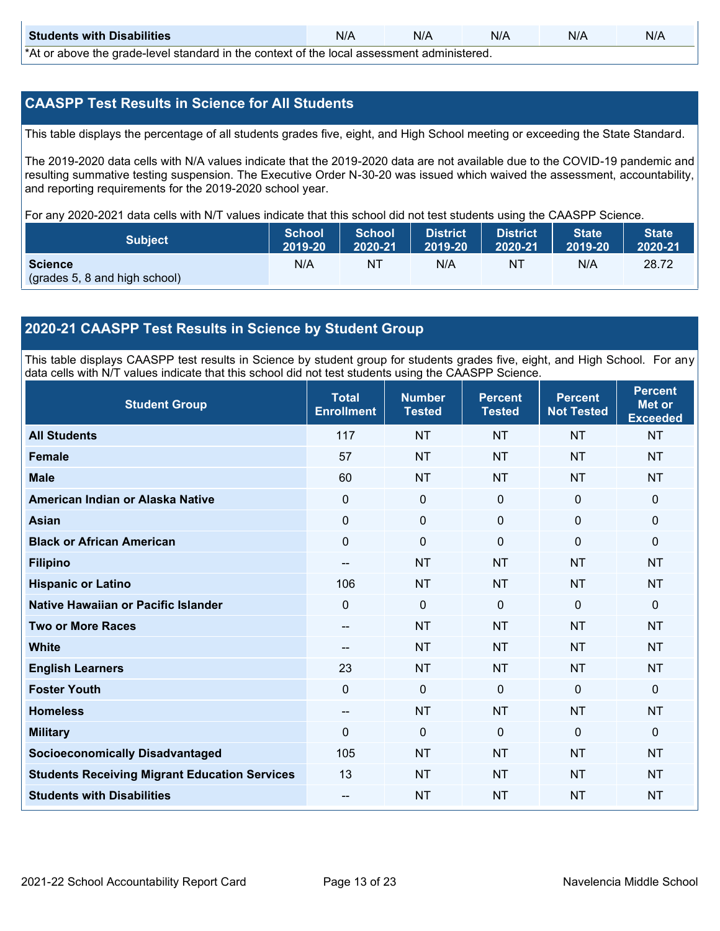| <b>Students with Disabilities</b>                                                           | N/A | N/A | N/A | N/A | N/A |  |  |
|---------------------------------------------------------------------------------------------|-----|-----|-----|-----|-----|--|--|
| *At as above the escale level standard in the context of the local accordinate admissioned. |     |     |     |     |     |  |  |

\*At or above the grade-level standard in the context of the local assessment administered.

#### **CAASPP Test Results in Science for All Students**

This table displays the percentage of all students grades five, eight, and High School meeting or exceeding the State Standard.

The 2019-2020 data cells with N/A values indicate that the 2019-2020 data are not available due to the COVID-19 pandemic and resulting summative testing suspension. The Executive Order N-30-20 was issued which waived the assessment, accountability, and reporting requirements for the 2019-2020 school year.

For any 2020-2021 data cells with N/T values indicate that this school did not test students using the CAASPP Science.

| <b>Subject</b>                | <b>School</b><br>2019-20 | <b>School</b><br>2020-21 | <b>District</b><br>12019-20 | District<br>2020-21 | <b>State</b><br>2019-20 | <b>State</b><br>2020-21 |
|-------------------------------|--------------------------|--------------------------|-----------------------------|---------------------|-------------------------|-------------------------|
| <b>Science</b>                | N/A                      | NT                       | N/A                         | NT.                 | N/A                     | 28.72                   |
| (grades 5, 8 and high school) |                          |                          |                             |                     |                         |                         |

#### **2020-21 CAASPP Test Results in Science by Student Group**

This table displays CAASPP test results in Science by student group for students grades five, eight, and High School. For any data cells with N/T values indicate that this school did not test students using the CAASPP Science.

| <b>Student Group</b>                                 | <b>Total</b><br><b>Enrollment</b> | <b>Number</b><br><b>Tested</b> | <b>Percent</b><br><b>Tested</b> | <b>Percent</b><br><b>Not Tested</b> | <b>Percent</b><br><b>Met or</b><br><b>Exceeded</b> |
|------------------------------------------------------|-----------------------------------|--------------------------------|---------------------------------|-------------------------------------|----------------------------------------------------|
| <b>All Students</b>                                  | 117                               | <b>NT</b>                      | <b>NT</b>                       | <b>NT</b>                           | <b>NT</b>                                          |
| <b>Female</b>                                        | 57                                | <b>NT</b>                      | <b>NT</b>                       | <b>NT</b>                           | <b>NT</b>                                          |
| <b>Male</b>                                          | 60                                | <b>NT</b>                      | <b>NT</b>                       | <b>NT</b>                           | <b>NT</b>                                          |
| American Indian or Alaska Native                     | 0                                 | $\mathbf 0$                    | $\mathbf 0$                     | $\mathbf 0$                         | $\mathbf 0$                                        |
| <b>Asian</b>                                         | $\pmb{0}$                         | $\pmb{0}$                      | $\pmb{0}$                       | $\pmb{0}$                           | $\mathbf 0$                                        |
| <b>Black or African American</b>                     | $\mathbf 0$                       | $\mathbf 0$                    | $\mathbf 0$                     | $\mathbf 0$                         | $\mathbf 0$                                        |
| <b>Filipino</b>                                      | $\qquad \qquad -$                 | <b>NT</b>                      | <b>NT</b>                       | <b>NT</b>                           | <b>NT</b>                                          |
| <b>Hispanic or Latino</b>                            | 106                               | <b>NT</b>                      | <b>NT</b>                       | <b>NT</b>                           | <b>NT</b>                                          |
| Native Hawaiian or Pacific Islander                  | 0                                 | $\mathbf 0$                    | $\mathbf{0}$                    | $\mathbf 0$                         | $\mathbf{0}$                                       |
| <b>Two or More Races</b>                             | --                                | <b>NT</b>                      | <b>NT</b>                       | <b>NT</b>                           | <b>NT</b>                                          |
| <b>White</b>                                         | $\sim$                            | <b>NT</b>                      | <b>NT</b>                       | <b>NT</b>                           | <b>NT</b>                                          |
| <b>English Learners</b>                              | 23                                | <b>NT</b>                      | <b>NT</b>                       | <b>NT</b>                           | <b>NT</b>                                          |
| <b>Foster Youth</b>                                  | $\pmb{0}$                         | $\mathbf 0$                    | $\mathbf 0$                     | $\mathbf 0$                         | $\mathbf{0}$                                       |
| <b>Homeless</b>                                      | $\qquad \qquad -$                 | <b>NT</b>                      | <b>NT</b>                       | <b>NT</b>                           | <b>NT</b>                                          |
| <b>Military</b>                                      | $\Omega$                          | $\mathbf 0$                    | $\mathbf{0}$                    | $\mathbf{0}$                        | $\mathbf{0}$                                       |
| <b>Socioeconomically Disadvantaged</b>               | 105                               | <b>NT</b>                      | <b>NT</b>                       | <b>NT</b>                           | <b>NT</b>                                          |
| <b>Students Receiving Migrant Education Services</b> | 13                                | <b>NT</b>                      | <b>NT</b>                       | <b>NT</b>                           | <b>NT</b>                                          |
| <b>Students with Disabilities</b>                    | --                                | <b>NT</b>                      | <b>NT</b>                       | <b>NT</b>                           | <b>NT</b>                                          |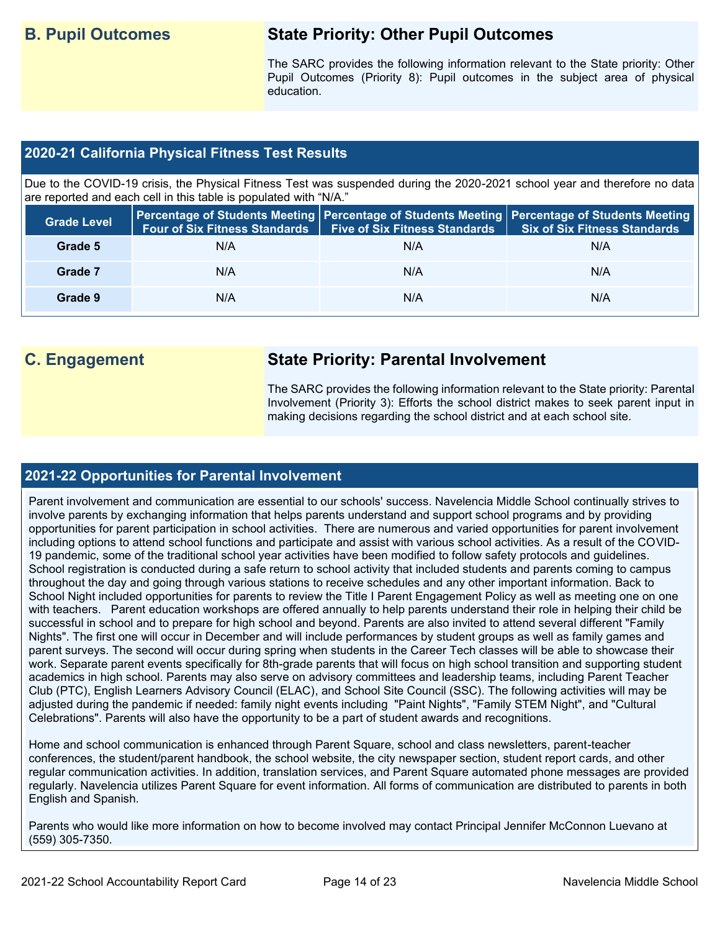# **B. Pupil Outcomes State Priority: Other Pupil Outcomes**

The SARC provides the following information relevant to the State priority: Other Pupil Outcomes (Priority 8): Pupil outcomes in the subject area of physical education.

#### **2020-21 California Physical Fitness Test Results**

Due to the COVID-19 crisis, the Physical Fitness Test was suspended during the 2020-2021 school year and therefore no data are reported and each cell in this table is populated with "N/A."

| <b>Grade Level</b> | <b>Four of Six Fitness Standards</b> | <b>Five of Six Fitness Standards</b> | Percentage of Students Meeting   Percentage of Students Meeting   Percentage of Students Meeting  <br><b>Six of Six Fitness Standards</b> |
|--------------------|--------------------------------------|--------------------------------------|-------------------------------------------------------------------------------------------------------------------------------------------|
| Grade 5            | N/A                                  | N/A                                  | N/A                                                                                                                                       |
| Grade 7            | N/A                                  | N/A                                  | N/A                                                                                                                                       |
| Grade 9            | N/A                                  | N/A                                  | N/A                                                                                                                                       |

# **C. Engagement State Priority: Parental Involvement**

The SARC provides the following information relevant to the State priority: Parental Involvement (Priority 3): Efforts the school district makes to seek parent input in making decisions regarding the school district and at each school site.

#### **2021-22 Opportunities for Parental Involvement**

Parent involvement and communication are essential to our schools' success. Navelencia Middle School continually strives to involve parents by exchanging information that helps parents understand and support school programs and by providing opportunities for parent participation in school activities. There are numerous and varied opportunities for parent involvement including options to attend school functions and participate and assist with various school activities. As a result of the COVID-19 pandemic, some of the traditional school year activities have been modified to follow safety protocols and guidelines. School registration is conducted during a safe return to school activity that included students and parents coming to campus throughout the day and going through various stations to receive schedules and any other important information. Back to School Night included opportunities for parents to review the Title I Parent Engagement Policy as well as meeting one on one with teachers. Parent education workshops are offered annually to help parents understand their role in helping their child be successful in school and to prepare for high school and beyond. Parents are also invited to attend several different "Family Nights". The first one will occur in December and will include performances by student groups as well as family games and parent surveys. The second will occur during spring when students in the Career Tech classes will be able to showcase their work. Separate parent events specifically for 8th-grade parents that will focus on high school transition and supporting student academics in high school. Parents may also serve on advisory committees and leadership teams, including Parent Teacher Club (PTC), English Learners Advisory Council (ELAC), and School Site Council (SSC). The following activities will may be adjusted during the pandemic if needed: family night events including "Paint Nights", "Family STEM Night", and "Cultural Celebrations". Parents will also have the opportunity to be a part of student awards and recognitions.

Home and school communication is enhanced through Parent Square, school and class newsletters, parent-teacher conferences, the student/parent handbook, the school website, the city newspaper section, student report cards, and other regular communication activities. In addition, translation services, and Parent Square automated phone messages are provided regularly. Navelencia utilizes Parent Square for event information. All forms of communication are distributed to parents in both English and Spanish.

Parents who would like more information on how to become involved may contact Principal Jennifer McConnon Luevano at (559) 305-7350.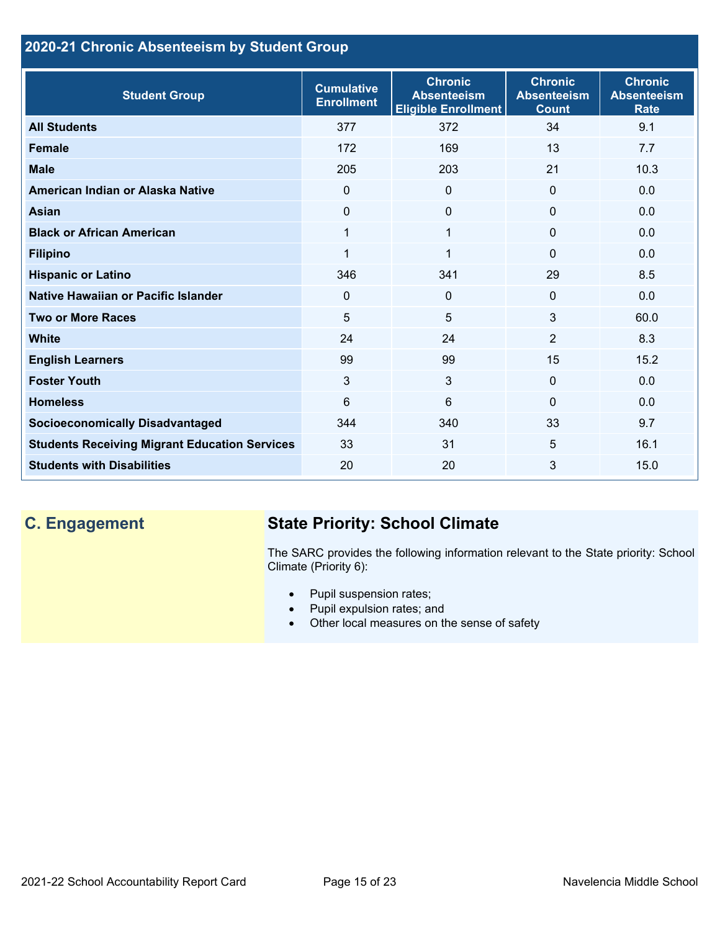## **2020-21 Chronic Absenteeism by Student Group**

| <b>Student Group</b>                                 | <b>Cumulative</b><br><b>Enrollment</b> | <b>Chronic</b><br><b>Absenteeism</b><br><b>Eligible Enrollment</b> | <b>Chronic</b><br><b>Absenteeism</b><br><b>Count</b> | <b>Chronic</b><br><b>Absenteeism</b><br><b>Rate</b> |
|------------------------------------------------------|----------------------------------------|--------------------------------------------------------------------|------------------------------------------------------|-----------------------------------------------------|
| <b>All Students</b>                                  | 377                                    | 372                                                                | 34                                                   | 9.1                                                 |
| <b>Female</b>                                        | 172                                    | 169                                                                | 13                                                   | 7.7                                                 |
| <b>Male</b>                                          | 205                                    | 203                                                                | 21                                                   | 10.3                                                |
| American Indian or Alaska Native                     | $\Omega$                               | $\mathbf{0}$                                                       | $\mathbf{0}$                                         | 0.0                                                 |
| <b>Asian</b>                                         | 0                                      | $\Omega$                                                           | $\mathbf{0}$                                         | 0.0                                                 |
| <b>Black or African American</b>                     | 1                                      | 1                                                                  | $\mathbf{0}$                                         | 0.0                                                 |
| <b>Filipino</b>                                      | 1                                      | $\mathbf 1$                                                        | $\mathbf{0}$                                         | 0.0                                                 |
| <b>Hispanic or Latino</b>                            | 346                                    | 341                                                                | 29                                                   | 8.5                                                 |
| Native Hawaiian or Pacific Islander                  | $\Omega$                               | 0                                                                  | $\Omega$                                             | 0.0                                                 |
| <b>Two or More Races</b>                             | 5                                      | $5\phantom{.0}$                                                    | 3                                                    | 60.0                                                |
| <b>White</b>                                         | 24                                     | 24                                                                 | 2                                                    | 8.3                                                 |
| <b>English Learners</b>                              | 99                                     | 99                                                                 | 15                                                   | 15.2                                                |
| <b>Foster Youth</b>                                  | 3                                      | 3                                                                  | $\Omega$                                             | 0.0                                                 |
| <b>Homeless</b>                                      | 6                                      | 6                                                                  | $\Omega$                                             | 0.0                                                 |
| <b>Socioeconomically Disadvantaged</b>               | 344                                    | 340                                                                | 33                                                   | 9.7                                                 |
| <b>Students Receiving Migrant Education Services</b> | 33                                     | 31                                                                 | 5                                                    | 16.1                                                |
| <b>Students with Disabilities</b>                    | 20                                     | 20                                                                 | 3                                                    | 15.0                                                |

# **C. Engagement State Priority: School Climate**

The SARC provides the following information relevant to the State priority: School Climate (Priority 6):

- Pupil suspension rates;
- Pupil expulsion rates; and
- Other local measures on the sense of safety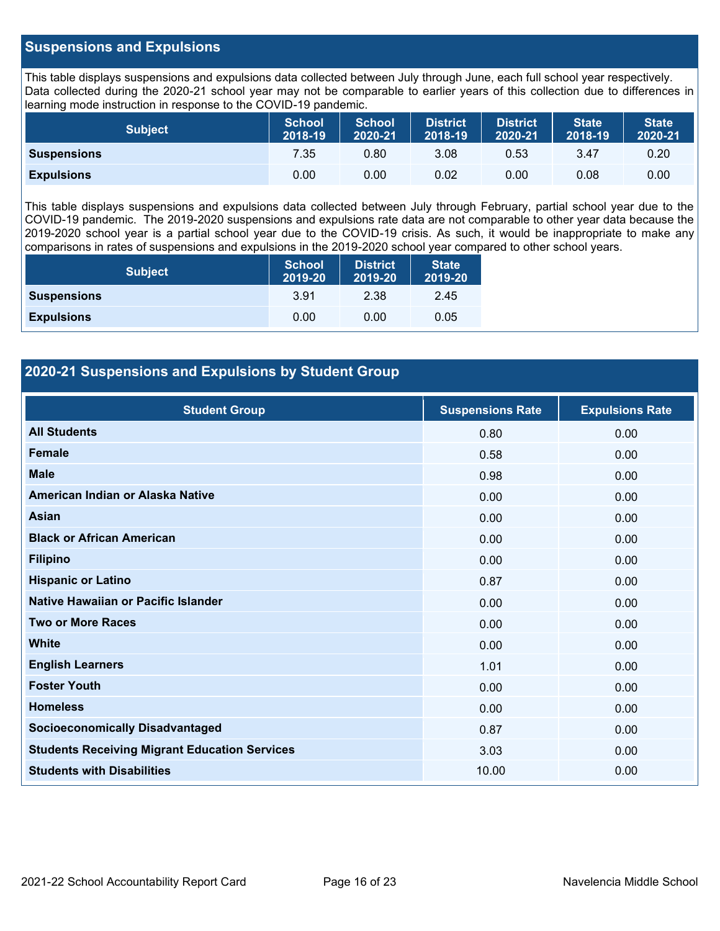#### **Suspensions and Expulsions**

This table displays suspensions and expulsions data collected between July through June, each full school year respectively. Data collected during the 2020-21 school year may not be comparable to earlier years of this collection due to differences in learning mode instruction in response to the COVID-19 pandemic.

| <b>Subject</b>     | <b>School</b><br>2018-19 | <b>School</b><br>2020-21 | <b>District</b><br>2018-19 | <b>District</b><br>2020-21 | <b>State</b><br>2018-19 | <b>State</b><br>2020-21 |
|--------------------|--------------------------|--------------------------|----------------------------|----------------------------|-------------------------|-------------------------|
| <b>Suspensions</b> | 7.35                     | 0.80                     | 3.08                       | 0.53                       | 3.47                    | 0.20                    |
| <b>Expulsions</b>  | 0.00                     | 0.00                     | 0.02                       | 0.00                       | 0.08                    | 0.00                    |

This table displays suspensions and expulsions data collected between July through February, partial school year due to the COVID-19 pandemic. The 2019-2020 suspensions and expulsions rate data are not comparable to other year data because the 2019-2020 school year is a partial school year due to the COVID-19 crisis. As such, it would be inappropriate to make any comparisons in rates of suspensions and expulsions in the 2019-2020 school year compared to other school years.

| <b>Subject</b>     | <b>School</b><br>2019-20 | <b>District</b><br>2019-20 | <b>State</b><br>2019-20 |
|--------------------|--------------------------|----------------------------|-------------------------|
| <b>Suspensions</b> | 3.91                     | 2.38                       | 2.45                    |
| <b>Expulsions</b>  | 0.00                     | 0.00                       | 0.05                    |

### **2020-21 Suspensions and Expulsions by Student Group**

| <b>Student Group</b>                                 | <b>Suspensions Rate</b> | <b>Expulsions Rate</b> |
|------------------------------------------------------|-------------------------|------------------------|
| <b>All Students</b>                                  | 0.80                    | 0.00                   |
| <b>Female</b>                                        | 0.58                    | 0.00                   |
| <b>Male</b>                                          | 0.98                    | 0.00                   |
| American Indian or Alaska Native                     | 0.00                    | 0.00                   |
| <b>Asian</b>                                         | 0.00                    | 0.00                   |
| <b>Black or African American</b>                     | 0.00                    | 0.00                   |
| <b>Filipino</b>                                      | 0.00                    | 0.00                   |
| <b>Hispanic or Latino</b>                            | 0.87                    | 0.00                   |
| Native Hawaiian or Pacific Islander                  | 0.00                    | 0.00                   |
| <b>Two or More Races</b>                             | 0.00                    | 0.00                   |
| <b>White</b>                                         | 0.00                    | 0.00                   |
| <b>English Learners</b>                              | 1.01                    | 0.00                   |
| <b>Foster Youth</b>                                  | 0.00                    | 0.00                   |
| <b>Homeless</b>                                      | 0.00                    | 0.00                   |
| <b>Socioeconomically Disadvantaged</b>               | 0.87                    | 0.00                   |
| <b>Students Receiving Migrant Education Services</b> | 3.03                    | 0.00                   |
| <b>Students with Disabilities</b>                    | 10.00                   | 0.00                   |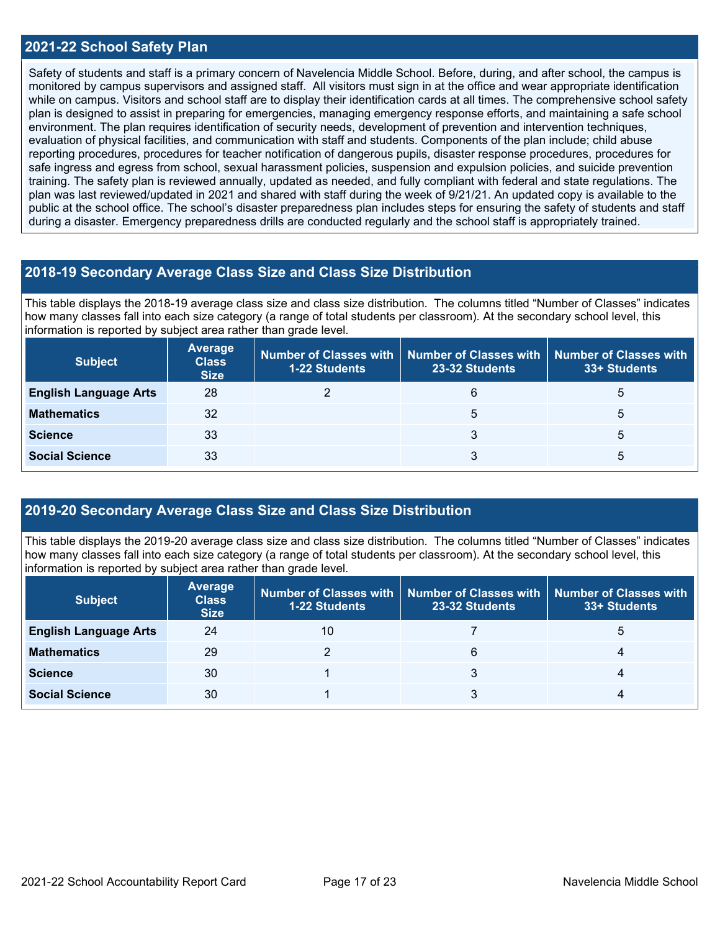#### **2021-22 School Safety Plan**

Safety of students and staff is a primary concern of Navelencia Middle School. Before, during, and after school, the campus is monitored by campus supervisors and assigned staff. All visitors must sign in at the office and wear appropriate identification while on campus. Visitors and school staff are to display their identification cards at all times. The comprehensive school safety plan is designed to assist in preparing for emergencies, managing emergency response efforts, and maintaining a safe school environment. The plan requires identification of security needs, development of prevention and intervention techniques, evaluation of physical facilities, and communication with staff and students. Components of the plan include; child abuse reporting procedures, procedures for teacher notification of dangerous pupils, disaster response procedures, procedures for safe ingress and egress from school, sexual harassment policies, suspension and expulsion policies, and suicide prevention training. The safety plan is reviewed annually, updated as needed, and fully compliant with federal and state regulations. The plan was last reviewed/updated in 2021 and shared with staff during the week of 9/21/21. An updated copy is available to the public at the school office. The school's disaster preparedness plan includes steps for ensuring the safety of students and staff during a disaster. Emergency preparedness drills are conducted regularly and the school staff is appropriately trained.

#### **2018-19 Secondary Average Class Size and Class Size Distribution**

This table displays the 2018-19 average class size and class size distribution. The columns titled "Number of Classes" indicates how many classes fall into each size category (a range of total students per classroom). At the secondary school level, this information is reported by subject area rather than grade level.

| <b>Subject</b>               | <b>Average</b><br><b>Class</b><br><b>Size</b> | <b>1-22 Students</b> | Number of Classes with   Number of Classes with   Number of Classes with<br>23-32 Students | 33+ Students |
|------------------------------|-----------------------------------------------|----------------------|--------------------------------------------------------------------------------------------|--------------|
| <b>English Language Arts</b> | 28                                            |                      | 6                                                                                          | b            |
| <b>Mathematics</b>           | 32                                            |                      | 5                                                                                          | 5            |
| <b>Science</b>               | 33                                            |                      | 3                                                                                          | 5            |
| <b>Social Science</b>        | 33                                            |                      | 3                                                                                          | 5            |

#### **2019-20 Secondary Average Class Size and Class Size Distribution**

This table displays the 2019-20 average class size and class size distribution. The columns titled "Number of Classes" indicates how many classes fall into each size category (a range of total students per classroom). At the secondary school level, this information is reported by subject area rather than grade level.

| <b>Subject</b>               | <b>Average</b><br><b>Class</b><br><b>Size</b> | <b>1-22 Students</b> | Number of Classes with   Number of Classes with   Number of Classes with<br>23-32 Students | 33+ Students |
|------------------------------|-----------------------------------------------|----------------------|--------------------------------------------------------------------------------------------|--------------|
| <b>English Language Arts</b> | 24                                            | 10                   |                                                                                            | ა            |
| <b>Mathematics</b>           | 29                                            |                      | 6                                                                                          |              |
| <b>Science</b>               | 30                                            |                      |                                                                                            |              |
| <b>Social Science</b>        | 30                                            |                      |                                                                                            |              |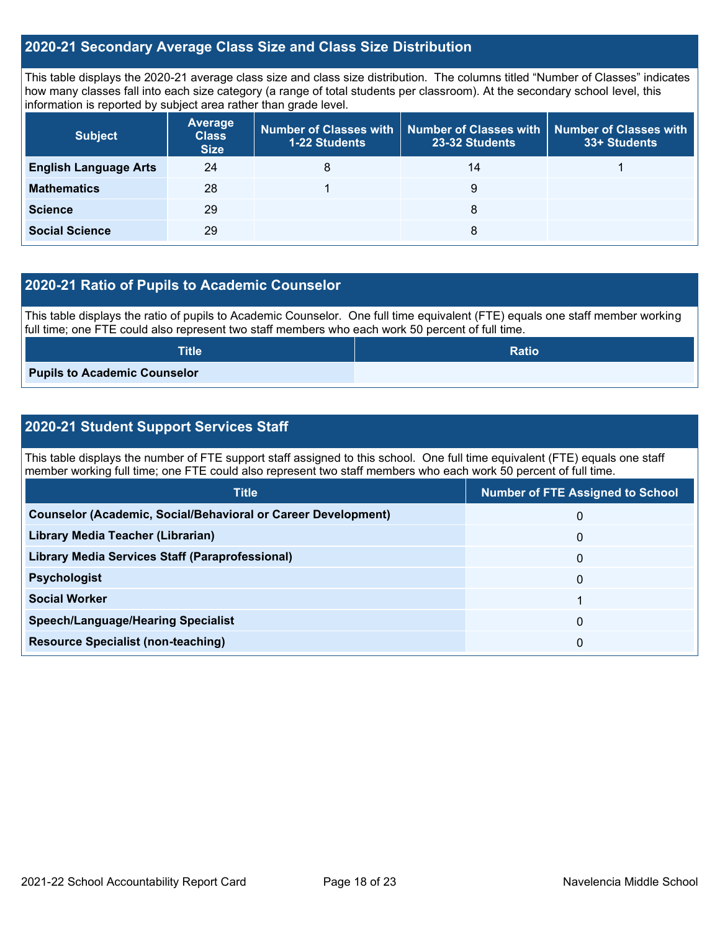#### **2020-21 Secondary Average Class Size and Class Size Distribution**

This table displays the 2020-21 average class size and class size distribution. The columns titled "Number of Classes" indicates how many classes fall into each size category (a range of total students per classroom). At the secondary school level, this information is reported by subject area rather than grade level.

| <b>Subject</b>               | <b>Average</b><br><b>Class</b><br><b>Size</b> | 1-22 Students | Number of Classes with   Number of Classes with  <br>23-32 Students | <b>Number of Classes with</b><br>33+ Students |
|------------------------------|-----------------------------------------------|---------------|---------------------------------------------------------------------|-----------------------------------------------|
| <b>English Language Arts</b> | 24                                            | 8             | 14                                                                  |                                               |
| <b>Mathematics</b>           | 28                                            |               | 9                                                                   |                                               |
| <b>Science</b>               | 29                                            |               | 8                                                                   |                                               |
| <b>Social Science</b>        | 29                                            |               | 8                                                                   |                                               |

### **2020-21 Ratio of Pupils to Academic Counselor**

This table displays the ratio of pupils to Academic Counselor. One full time equivalent (FTE) equals one staff member working full time; one FTE could also represent two staff members who each work 50 percent of full time.

| <b>Title</b>                 | <b>Ratio</b> |
|------------------------------|--------------|
| Pupils to Academic Counselor |              |

### **2020-21 Student Support Services Staff**

This table displays the number of FTE support staff assigned to this school. One full time equivalent (FTE) equals one staff member working full time; one FTE could also represent two staff members who each work 50 percent of full time.

| <b>Title</b>                                                         | <b>Number of FTE Assigned to School</b> |
|----------------------------------------------------------------------|-----------------------------------------|
| <b>Counselor (Academic, Social/Behavioral or Career Development)</b> | 0                                       |
| Library Media Teacher (Librarian)                                    | 0                                       |
| <b>Library Media Services Staff (Paraprofessional)</b>               | 0                                       |
| <b>Psychologist</b>                                                  | 0                                       |
| <b>Social Worker</b>                                                 |                                         |
| <b>Speech/Language/Hearing Specialist</b>                            | 0                                       |
| <b>Resource Specialist (non-teaching)</b>                            | 0                                       |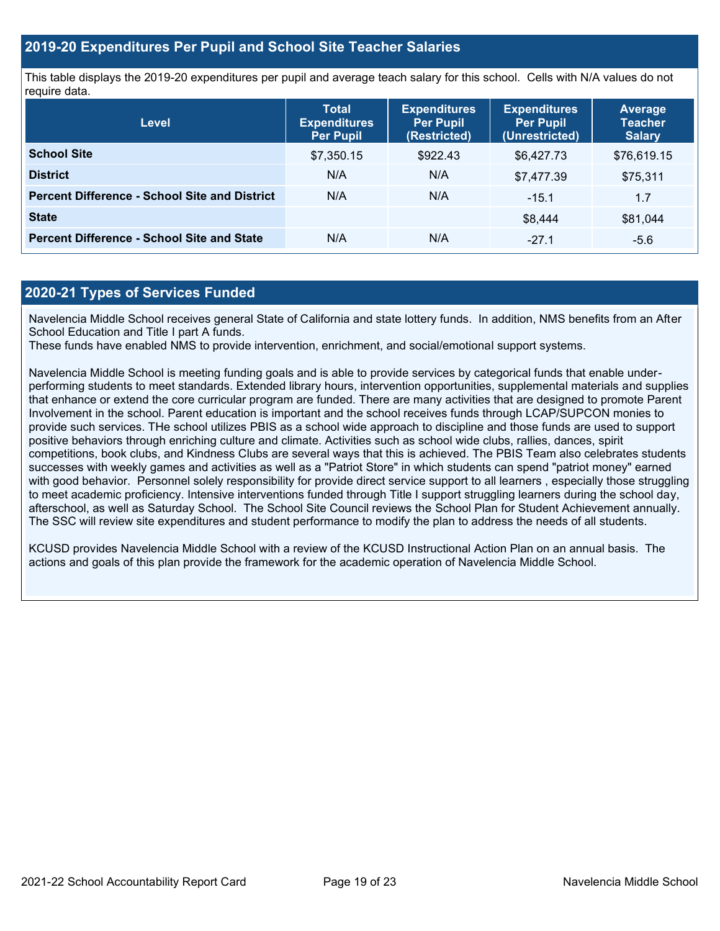#### **2019-20 Expenditures Per Pupil and School Site Teacher Salaries**

This table displays the 2019-20 expenditures per pupil and average teach salary for this school. Cells with N/A values do not require data.

| <b>Level</b>                                         | <b>Total</b><br><b>Expenditures</b><br><b>Per Pupil</b> | <b>Expenditures</b><br><b>Per Pupil</b><br>(Restricted) | <b>Expenditures</b><br><b>Per Pupil</b><br>(Unrestricted) | <b>Average</b><br><b>Teacher</b><br><b>Salary</b> |
|------------------------------------------------------|---------------------------------------------------------|---------------------------------------------------------|-----------------------------------------------------------|---------------------------------------------------|
| <b>School Site</b>                                   | \$7,350.15                                              | \$922.43                                                | \$6,427.73                                                | \$76,619.15                                       |
| <b>District</b>                                      | N/A                                                     | N/A                                                     | \$7,477.39                                                | \$75,311                                          |
| <b>Percent Difference - School Site and District</b> | N/A                                                     | N/A                                                     | $-15.1$                                                   | 1.7                                               |
| <b>State</b>                                         |                                                         |                                                         | \$8,444                                                   | \$81,044                                          |
| <b>Percent Difference - School Site and State</b>    | N/A                                                     | N/A                                                     | $-27.1$                                                   | $-5.6$                                            |

#### **2020-21 Types of Services Funded**

Navelencia Middle School receives general State of California and state lottery funds. In addition, NMS benefits from an After School Education and Title I part A funds.

These funds have enabled NMS to provide intervention, enrichment, and social/emotional support systems.

Navelencia Middle School is meeting funding goals and is able to provide services by categorical funds that enable underperforming students to meet standards. Extended library hours, intervention opportunities, supplemental materials and supplies that enhance or extend the core curricular program are funded. There are many activities that are designed to promote Parent Involvement in the school. Parent education is important and the school receives funds through LCAP/SUPCON monies to provide such services. THe school utilizes PBIS as a school wide approach to discipline and those funds are used to support positive behaviors through enriching culture and climate. Activities such as school wide clubs, rallies, dances, spirit competitions, book clubs, and Kindness Clubs are several ways that this is achieved. The PBIS Team also celebrates students successes with weekly games and activities as well as a "Patriot Store" in which students can spend "patriot money" earned with good behavior. Personnel solely responsibility for provide direct service support to all learners, especially those struggling to meet academic proficiency. Intensive interventions funded through Title I support struggling learners during the school day, afterschool, as well as Saturday School. The School Site Council reviews the School Plan for Student Achievement annually. The SSC will review site expenditures and student performance to modify the plan to address the needs of all students.

KCUSD provides Navelencia Middle School with a review of the KCUSD Instructional Action Plan on an annual basis. The actions and goals of this plan provide the framework for the academic operation of Navelencia Middle School.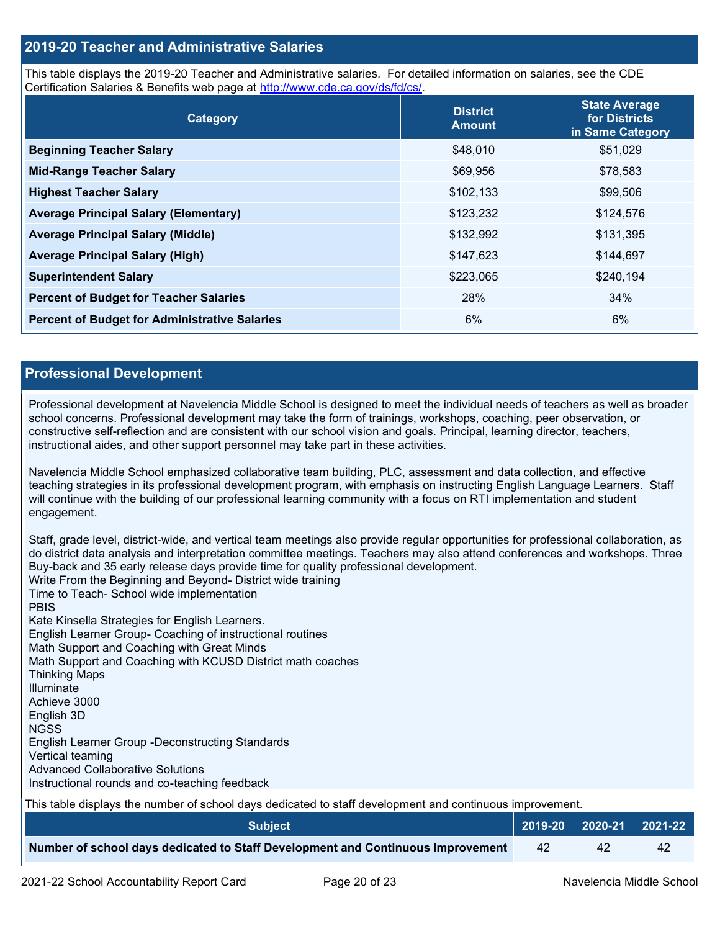#### **2019-20 Teacher and Administrative Salaries**

This table displays the 2019-20 Teacher and Administrative salaries. For detailed information on salaries, see the CDE Certification Salaries & Benefits web page at [http://www.cde.ca.gov/ds/fd/cs/.](http://www.cde.ca.gov/ds/fd/cs/)

| Category                                             | <b>District</b><br><b>Amount</b> | <b>State Average</b><br>for Districts<br>in Same Category |
|------------------------------------------------------|----------------------------------|-----------------------------------------------------------|
| <b>Beginning Teacher Salary</b>                      | \$48,010                         | \$51,029                                                  |
| <b>Mid-Range Teacher Salary</b>                      | \$69,956                         | \$78,583                                                  |
| <b>Highest Teacher Salary</b>                        | \$102,133                        | \$99,506                                                  |
| <b>Average Principal Salary (Elementary)</b>         | \$123,232                        | \$124,576                                                 |
| <b>Average Principal Salary (Middle)</b>             | \$132,992                        | \$131,395                                                 |
| <b>Average Principal Salary (High)</b>               | \$147,623                        | \$144,697                                                 |
| <b>Superintendent Salary</b>                         | \$223,065                        | \$240,194                                                 |
| <b>Percent of Budget for Teacher Salaries</b>        | 28%                              | 34%                                                       |
| <b>Percent of Budget for Administrative Salaries</b> | 6%                               | 6%                                                        |

#### **Professional Development**

Professional development at Navelencia Middle School is designed to meet the individual needs of teachers as well as broader school concerns. Professional development may take the form of trainings, workshops, coaching, peer observation, or constructive self-reflection and are consistent with our school vision and goals. Principal, learning director, teachers, instructional aides, and other support personnel may take part in these activities.

Navelencia Middle School emphasized collaborative team building, PLC, assessment and data collection, and effective teaching strategies in its professional development program, with emphasis on instructing English Language Learners. Staff will continue with the building of our professional learning community with a focus on RTI implementation and student engagement.

Staff, grade level, district-wide, and vertical team meetings also provide regular opportunities for professional collaboration, as do district data analysis and interpretation committee meetings. Teachers may also attend conferences and workshops. Three Buy-back and 35 early release days provide time for quality professional development. Write From the Beginning and Beyond- District wide training Time to Teach- School wide implementation PBIS Kate Kinsella Strategies for English Learners. English Learner Group- Coaching of instructional routines Math Support and Coaching with Great Minds Math Support and Coaching with KCUSD District math coaches Thinking Maps Illuminate Achieve 3000 English 3D NGSS English Learner Group -Deconstructing Standards Vertical teaming Advanced Collaborative Solutions Instructional rounds and co-teaching feedback This table displays the number of school days dedicated to staff development and continuous improvement.

| <b>Subject</b>                                                                  |    | 2019-20   2020-21   2021-22 |
|---------------------------------------------------------------------------------|----|-----------------------------|
| Number of school days dedicated to Staff Development and Continuous Improvement | 42 |                             |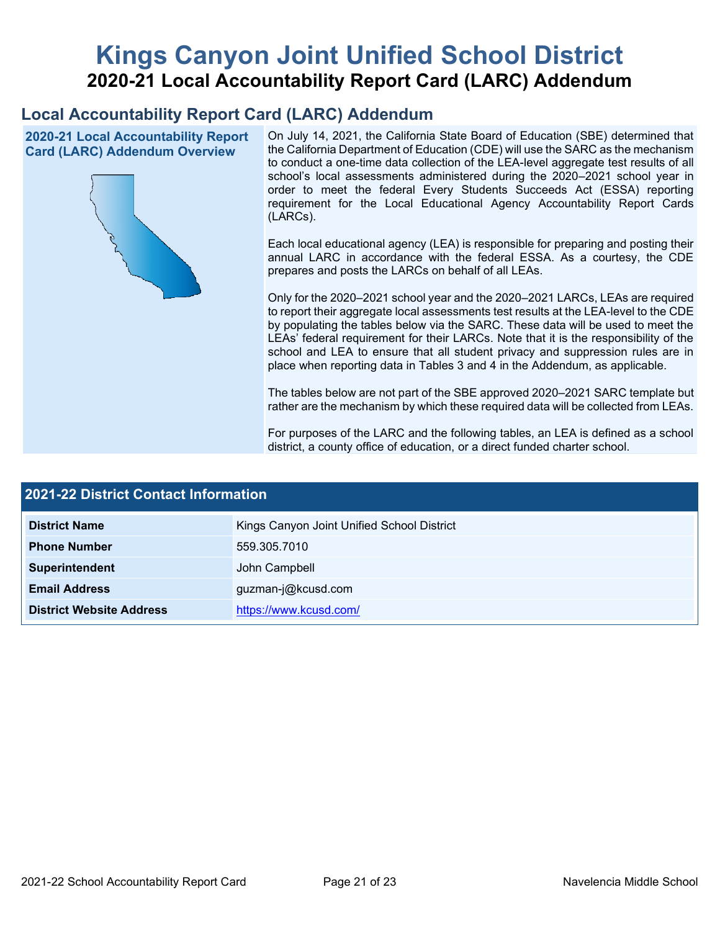# **Kings Canyon Joint Unified School District 2020-21 Local Accountability Report Card (LARC) Addendum**

# **Local Accountability Report Card (LARC) Addendum**

**2020-21 Local Accountability Report Card (LARC) Addendum Overview**



On July 14, 2021, the California State Board of Education (SBE) determined that the California Department of Education (CDE) will use the SARC as the mechanism to conduct a one-time data collection of the LEA-level aggregate test results of all school's local assessments administered during the 2020–2021 school year in order to meet the federal Every Students Succeeds Act (ESSA) reporting requirement for the Local Educational Agency Accountability Report Cards (LARCs).

Each local educational agency (LEA) is responsible for preparing and posting their annual LARC in accordance with the federal ESSA. As a courtesy, the CDE prepares and posts the LARCs on behalf of all LEAs.

Only for the 2020–2021 school year and the 2020–2021 LARCs, LEAs are required to report their aggregate local assessments test results at the LEA-level to the CDE by populating the tables below via the SARC. These data will be used to meet the LEAs' federal requirement for their LARCs. Note that it is the responsibility of the school and LEA to ensure that all student privacy and suppression rules are in place when reporting data in Tables 3 and 4 in the Addendum, as applicable.

The tables below are not part of the SBE approved 2020–2021 SARC template but rather are the mechanism by which these required data will be collected from LEAs.

For purposes of the LARC and the following tables, an LEA is defined as a school district, a county office of education, or a direct funded charter school.

| <b>2021-22 District Contact Information</b> |                                            |  |  |  |
|---------------------------------------------|--------------------------------------------|--|--|--|
| <b>District Name</b>                        | Kings Canyon Joint Unified School District |  |  |  |
| <b>Phone Number</b>                         | 559.305.7010                               |  |  |  |
| Superintendent                              | John Campbell                              |  |  |  |
| <b>Email Address</b>                        | guzman-j@kcusd.com                         |  |  |  |
| <b>District Website Address</b>             | https://www.kcusd.com/                     |  |  |  |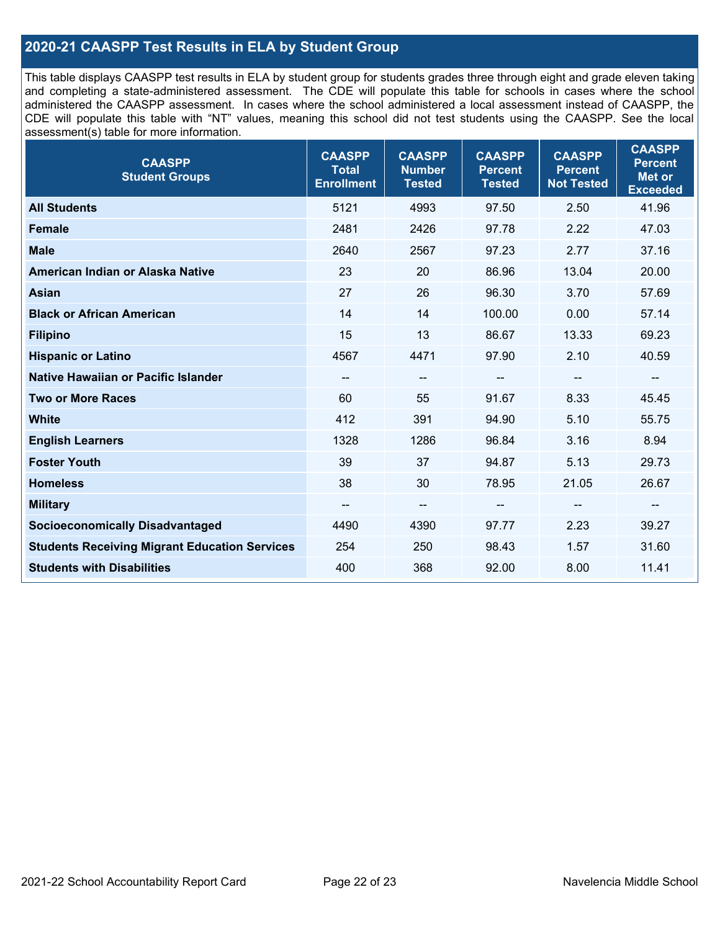### **2020-21 CAASPP Test Results in ELA by Student Group**

This table displays CAASPP test results in ELA by student group for students grades three through eight and grade eleven taking and completing a state-administered assessment. The CDE will populate this table for schools in cases where the school administered the CAASPP assessment. In cases where the school administered a local assessment instead of CAASPP, the CDE will populate this table with "NT" values, meaning this school did not test students using the CAASPP. See the local assessment(s) table for more information.

| <b>CAASPP</b><br><b>Student Groups</b>               | <b>CAASPP</b><br><b>Total</b><br><b>Enrollment</b> | <b>CAASPP</b><br><b>Number</b><br><b>Tested</b> | <b>CAASPP</b><br><b>Percent</b><br><b>Tested</b> | <b>CAASPP</b><br><b>Percent</b><br><b>Not Tested</b> | <b>CAASPP</b><br><b>Percent</b><br><b>Met or</b><br><b>Exceeded</b> |
|------------------------------------------------------|----------------------------------------------------|-------------------------------------------------|--------------------------------------------------|------------------------------------------------------|---------------------------------------------------------------------|
| <b>All Students</b>                                  | 5121                                               | 4993                                            | 97.50                                            | 2.50                                                 | 41.96                                                               |
| <b>Female</b>                                        | 2481                                               | 2426                                            | 97.78                                            | 2.22                                                 | 47.03                                                               |
| <b>Male</b>                                          | 2640                                               | 2567                                            | 97.23                                            | 2.77                                                 | 37.16                                                               |
| American Indian or Alaska Native                     | 23                                                 | 20                                              | 86.96                                            | 13.04                                                | 20.00                                                               |
| <b>Asian</b>                                         | 27                                                 | 26                                              | 96.30                                            | 3.70                                                 | 57.69                                                               |
| <b>Black or African American</b>                     | 14                                                 | 14                                              | 100.00                                           | 0.00                                                 | 57.14                                                               |
| <b>Filipino</b>                                      | 15                                                 | 13                                              | 86.67                                            | 13.33                                                | 69.23                                                               |
| <b>Hispanic or Latino</b>                            | 4567                                               | 4471                                            | 97.90                                            | 2.10                                                 | 40.59                                                               |
| Native Hawaiian or Pacific Islander                  | $\overline{\phantom{a}}$                           | $\overline{\phantom{m}}$                        | --                                               | $\overline{\phantom{a}}$                             | --                                                                  |
| <b>Two or More Races</b>                             | 60                                                 | 55                                              | 91.67                                            | 8.33                                                 | 45.45                                                               |
| <b>White</b>                                         | 412                                                | 391                                             | 94.90                                            | 5.10                                                 | 55.75                                                               |
| <b>English Learners</b>                              | 1328                                               | 1286                                            | 96.84                                            | 3.16                                                 | 8.94                                                                |
| <b>Foster Youth</b>                                  | 39                                                 | 37                                              | 94.87                                            | 5.13                                                 | 29.73                                                               |
| <b>Homeless</b>                                      | 38                                                 | 30                                              | 78.95                                            | 21.05                                                | 26.67                                                               |
| <b>Military</b>                                      | --                                                 | --                                              |                                                  | --                                                   | --                                                                  |
| <b>Socioeconomically Disadvantaged</b>               | 4490                                               | 4390                                            | 97.77                                            | 2.23                                                 | 39.27                                                               |
| <b>Students Receiving Migrant Education Services</b> | 254                                                | 250                                             | 98.43                                            | 1.57                                                 | 31.60                                                               |
| <b>Students with Disabilities</b>                    | 400                                                | 368                                             | 92.00                                            | 8.00                                                 | 11.41                                                               |